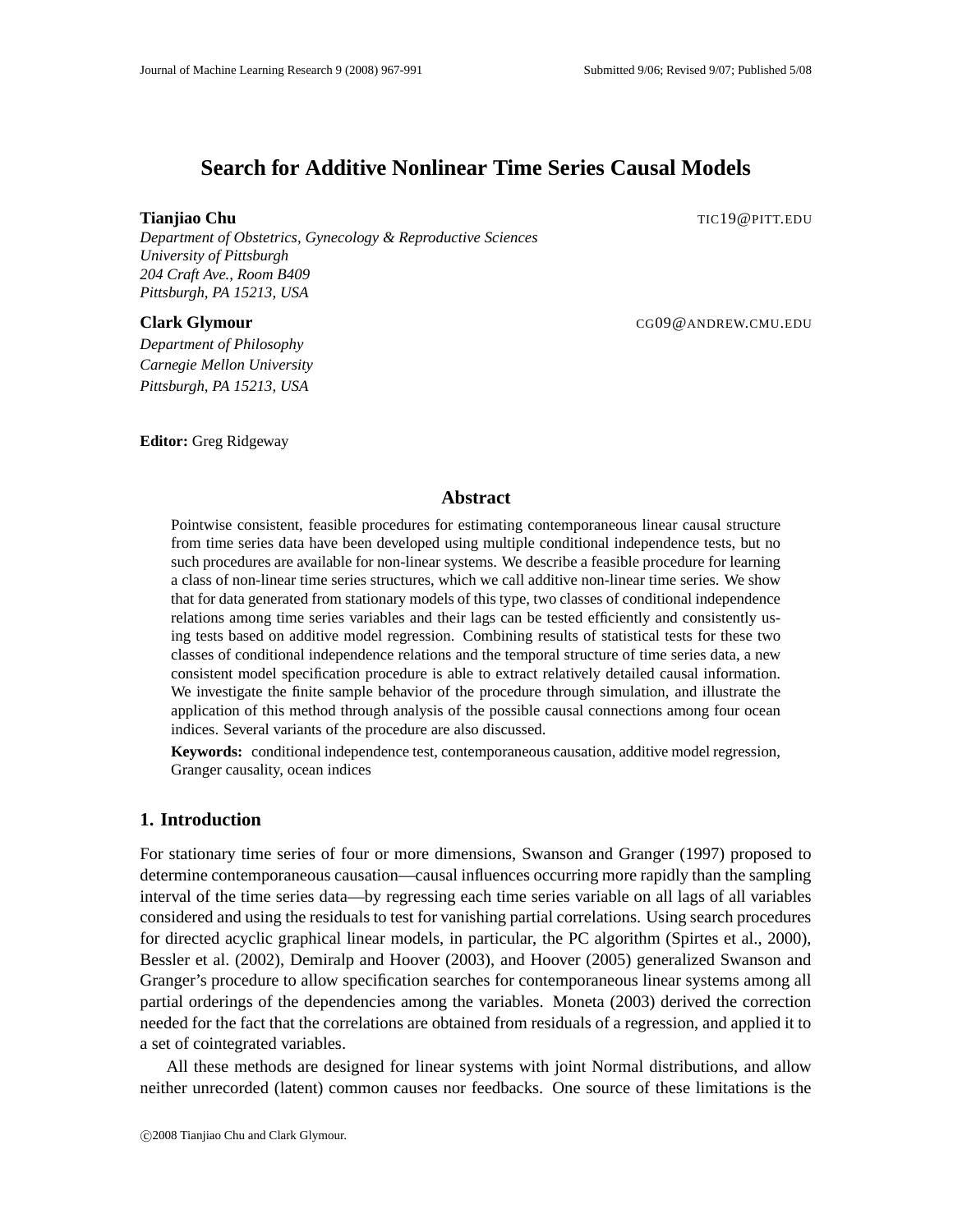# **Search for Additive Nonlinear Time Series Causal Models**

**Tianjiao Chu** The **The Expansion of the Church Church Church Church Church Church Church Church Church Church Church Church Church Church Church Church Church Church Church Church Church Church Church Church Church Church** 

*Department of Obstetrics, Gynecology & Reproductive Sciences University of Pittsburgh 204 Craft Ave., Room B409 Pittsburgh, PA 15213, USA*

**Clark Glymour** CG09@ANDREW.CMU.EDU

*Department of Philosophy Carnegie Mellon University Pittsburgh, PA 15213, USA*

**Editor:** Greg Ridgeway

# **Abstract**

Pointwise consistent, feasible procedures for estimating contemporaneous linear causal structure from time series data have been developed using multiple conditional independence tests, but no such procedures are available for non-linear systems. We describe a feasible procedure for learning a class of non-linear time series structures, which we call additive non-linear time series. We show that for data generated from stationary models of this type, two classes of conditional independence relations among time series variables and their lags can be tested efficiently and consistently using tests based on additive model regression. Combining results of statistical tests for these two classes of conditional independence relations and the temporal structure of time series data, a new consistent model specification procedure is able to extract relatively detailed causal information. We investigate the finite sample behavior of the procedure through simulation, and illustrate the application of this method through analysis of the possible causal connections among four ocean indices. Several variants of the procedure are also discussed.

**Keywords:** conditional independence test, contemporaneous causation, additive model regression, Granger causality, ocean indices

# **1. Introduction**

For stationary time series of four or more dimensions, Swanson and Granger (1997) proposed to determine contemporaneous causation—causal influences occurring more rapidly than the sampling interval of the time series data—by regressing each time series variable on all lags of all variables considered and using the residuals to test for vanishing partial correlations. Using search procedures for directed acyclic graphical linear models, in particular, the PC algorithm (Spirtes et al., 2000), Bessler et al. (2002), Demiralp and Hoover (2003), and Hoover (2005) generalized Swanson and Granger's procedure to allow specification searches for contemporaneous linear systems among all partial orderings of the dependencies among the variables. Moneta (2003) derived the correction needed for the fact that the correlations are obtained from residuals of a regression, and applied it to a set of cointegrated variables.

All these methods are designed for linear systems with joint Normal distributions, and allow neither unrecorded (latent) common causes nor feedbacks. One source of these limitations is the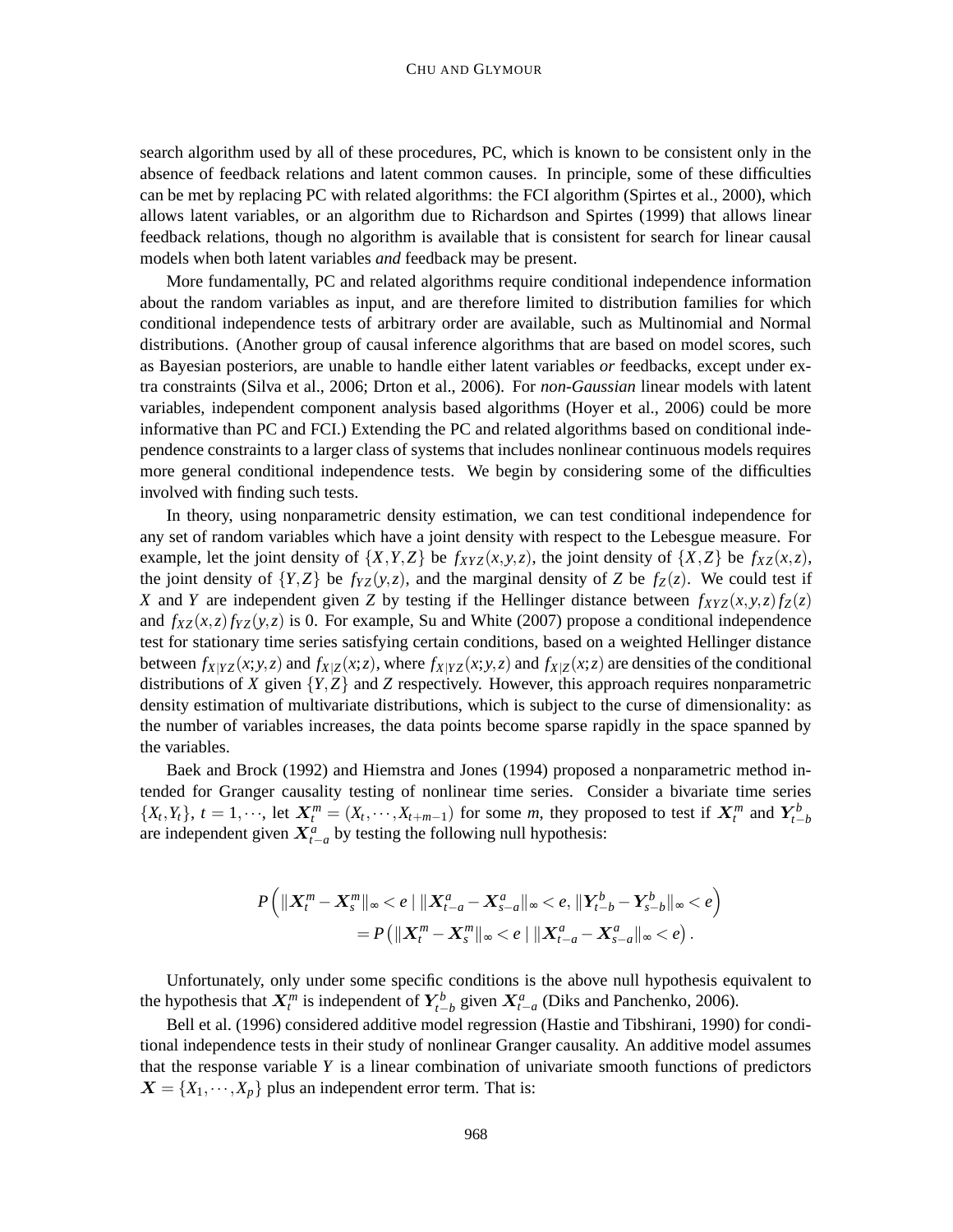search algorithm used by all of these procedures, PC, which is known to be consistent only in the absence of feedback relations and latent common causes. In principle, some of these difficulties can be met by replacing PC with related algorithms: the FCI algorithm (Spirtes et al., 2000), which allows latent variables, or an algorithm due to Richardson and Spirtes (1999) that allows linear feedback relations, though no algorithm is available that is consistent for search for linear causal models when both latent variables *and* feedback may be present.

More fundamentally, PC and related algorithms require conditional independence information about the random variables as input, and are therefore limited to distribution families for which conditional independence tests of arbitrary order are available, such as Multinomial and Normal distributions. (Another group of causal inference algorithms that are based on model scores, such as Bayesian posteriors, are unable to handle either latent variables *or* feedbacks, except under extra constraints (Silva et al., 2006; Drton et al., 2006). For *non-Gaussian* linear models with latent variables, independent component analysis based algorithms (Hoyer et al., 2006) could be more informative than PC and FCI.) Extending the PC and related algorithms based on conditional independence constraints to a larger class of systems that includes nonlinear continuous models requires more general conditional independence tests. We begin by considering some of the difficulties involved with finding such tests.

In theory, using nonparametric density estimation, we can test conditional independence for any set of random variables which have a joint density with respect to the Lebesgue measure. For example, let the joint density of  $\{X, Y, Z\}$  be  $f_{XYZ}(x, y, z)$ , the joint density of  $\{X, Z\}$  be  $f_{XZ}(x, z)$ , the joint density of  ${Y,Z}$  be  $f_{YZ}(y,z)$ , and the marginal density of *Z* be  $f_Z(z)$ . We could test if *X* and *Y* are independent given *Z* by testing if the Hellinger distance between  $f_{XYZ}(x, y, z) f_Z(z)$ and  $f_{XZ}(x, z) f_{YZ}(y, z)$  is 0. For example, Su and White (2007) propose a conditional independence test for stationary time series satisfying certain conditions, based on a weighted Hellinger distance between  $f_{X|YZ}(x; y, z)$  and  $f_{X|Z}(x; z)$ , where  $f_{X|YZ}(x; y, z)$  and  $f_{X|Z}(x; z)$  are densities of the conditional distributions of *X* given  ${Y, Z}$  and *Z* respectively. However, this approach requires nonparametric density estimation of multivariate distributions, which is subject to the curse of dimensionality: as the number of variables increases, the data points become sparse rapidly in the space spanned by the variables.

Baek and Brock (1992) and Hiemstra and Jones (1994) proposed a nonparametric method intended for Granger causality testing of nonlinear time series. Consider a bivariate time series  $\{X_t, Y_t\}$ ,  $t = 1, \dots$ , let  $X_t^m = (X_t, \dots, X_{t+m-1})$  for some m, they proposed to test if  $X_t^m$  and  $Y_{t-b}^b$ are independent given  $X_{t-a}^a$  by testing the following null hypothesis:

$$
P\left(\|X_t^m - X_s^m\|_{\infty} < e \mid \|X_{t-a}^a - X_{s-a}^a\|_{\infty} < e, \|Y_{t-b}^b - Y_{s-b}^b\|_{\infty} < e\right) \\
= P\left(\|X_t^m - X_s^m\|_{\infty} < e \mid \|X_{t-a}^a - X_{s-a}^a\|_{\infty} < e\right).
$$

Unfortunately, only under some specific conditions is the above null hypothesis equivalent to the hypothesis that  $X_t^m$  is independent of  $Y_{t-b}^b$  given  $X_{t-a}^a$  (Diks and Panchenko, 2006).

Bell et al. (1996) considered additive model regression (Hastie and Tibshirani, 1990) for conditional independence tests in their study of nonlinear Granger causality. An additive model assumes that the response variable *Y* is a linear combination of univariate smooth functions of predictors  $X = \{X_1, \dots, X_p\}$  plus an independent error term. That is: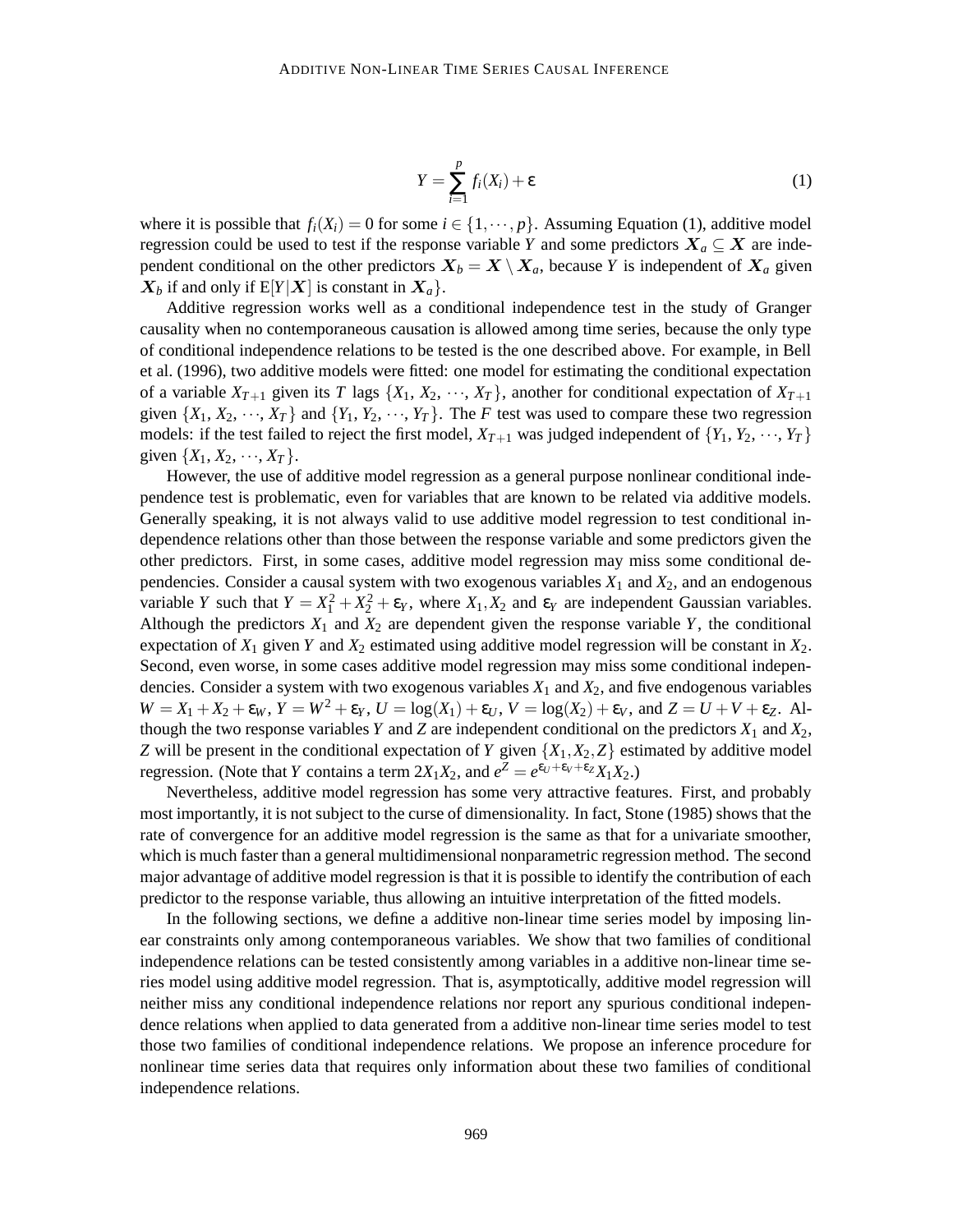$$
Y = \sum_{i=1}^{p} f_i(X_i) + \varepsilon
$$
 (1)

where it is possible that  $f_i(X_i) = 0$  for some  $i \in \{1, \dots, p\}$ . Assuming Equation (1), additive model regression could be used to test if the response variable *Y* and some predictors  $X_a \subseteq X$  are independent conditional on the other predictors  $X_b = X \setminus X_a$ , because *Y* is independent of  $X_a$  given  $X_b$  if and only if  $E[Y|X]$  is constant in  $X_a$ .

Additive regression works well as a conditional independence test in the study of Granger causality when no contemporaneous causation is allowed among time series, because the only type of conditional independence relations to be tested is the one described above. For example, in Bell et al. (1996), two additive models were fitted: one model for estimating the conditional expectation of a variable  $X_{T+1}$  given its *T* lags  $\{X_1, X_2, \dots, X_T\}$ , another for conditional expectation of  $X_{T+1}$ given  $\{X_1, X_2, \dots, X_T\}$  and  $\{Y_1, Y_2, \dots, Y_T\}$ . The *F* test was used to compare these two regression models: if the test failed to reject the first model,  $X_{T+1}$  was judged independent of  $\{Y_1, Y_2, \dots, Y_T\}$ given  $\{X_1, X_2, \dots, X_T\}$ .

However, the use of additive model regression as a general purpose nonlinear conditional independence test is problematic, even for variables that are known to be related via additive models. Generally speaking, it is not always valid to use additive model regression to test conditional independence relations other than those between the response variable and some predictors given the other predictors. First, in some cases, additive model regression may miss some conditional dependencies. Consider a causal system with two exogenous variables  $X_1$  and  $X_2$ , and an endogenous variable *Y* such that  $Y = X_1^2 + X_2^2 + \varepsilon_Y$ , where  $X_1, X_2$  and  $\varepsilon_Y$  are independent Gaussian variables. Although the predictors  $X_1$  and  $X_2$  are dependent given the response variable  $Y$ , the conditional expectation of  $X_1$  given  $Y$  and  $X_2$  estimated using additive model regression will be constant in  $X_2$ . Second, even worse, in some cases additive model regression may miss some conditional independencies. Consider a system with two exogenous variables *X*<sup>1</sup> and *X*2, and five endogenous variables  $W = X_1 + X_2 + \varepsilon_W$ ,  $Y = W^2 + \varepsilon_Y$ ,  $U = \log(X_1) + \varepsilon_U$ ,  $V = \log(X_2) + \varepsilon_V$ , and  $Z = U + V + \varepsilon_Z$ . Although the two response variables  $Y$  and  $Z$  are independent conditional on the predictors  $X_1$  and  $X_2$ , *Z* will be present in the conditional expectation of *Y* given  $\{X_1, X_2, Z\}$  estimated by additive model regression. (Note that *Y* contains a term  $2X_1X_2$ , and  $e^Z = e^{\varepsilon_U + \varepsilon_V + \varepsilon_Z} X_1X_2$ .)

Nevertheless, additive model regression has some very attractive features. First, and probably most importantly, it is not subject to the curse of dimensionality. In fact, Stone (1985) shows that the rate of convergence for an additive model regression is the same as that for a univariate smoother, which is much faster than a general multidimensional nonparametric regression method. The second major advantage of additive model regression is that it is possible to identify the contribution of each predictor to the response variable, thus allowing an intuitive interpretation of the fitted models.

In the following sections, we define a additive non-linear time series model by imposing linear constraints only among contemporaneous variables. We show that two families of conditional independence relations can be tested consistently among variables in a additive non-linear time series model using additive model regression. That is, asymptotically, additive model regression will neither miss any conditional independence relations nor report any spurious conditional independence relations when applied to data generated from a additive non-linear time series model to test those two families of conditional independence relations. We propose an inference procedure for nonlinear time series data that requires only information about these two families of conditional independence relations.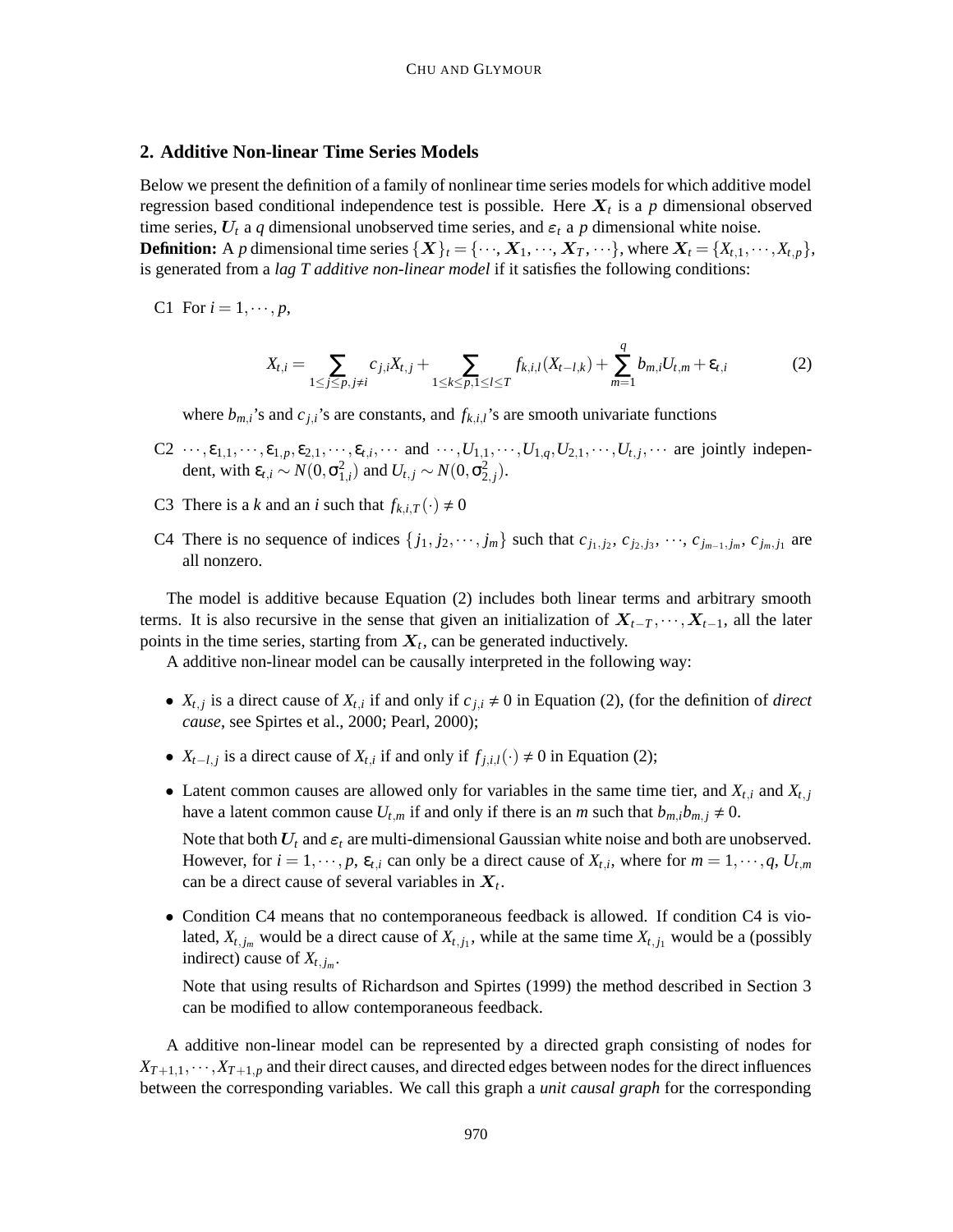#### **2. Additive Non-linear Time Series Models**

Below we present the definition of a family of nonlinear time series models for which additive model regression based conditional independence test is possible. Here X*<sup>t</sup>* is a *p* dimensional observed time series,  $U_t$  a *q* dimensional unobserved time series, and  $\varepsilon_t$  a *p* dimensional white noise. **Definition:** A *p* dimensional time series  $\{X\}_t = \{\cdots, X_1, \cdots, X_T, \cdots\}$ , where  $X_t = \{X_{t,1}, \cdots, X_{t,p}\}$ , is generated from a *lag T additive non-linear model* if it satisfies the following conditions:

C1 For 
$$
i = 1, \dots, p
$$
,

$$
X_{t,i} = \sum_{1 \le j \le p, j \ne i} c_{j,i} X_{t,j} + \sum_{1 \le k \le p, 1 \le l \le T} f_{k,i,l}(X_{t-l,k}) + \sum_{m=1}^{q} b_{m,i} U_{t,m} + \varepsilon_{t,i}
$$
(2)

where  $b_{mi}$ 's and  $c_{j,i}$ 's are constants, and  $f_{k,i}$ 's are smooth univariate functions

- $C_2 \cdots, \varepsilon_{1,1}, \cdots, \varepsilon_{1,p}, \varepsilon_{2,1}, \cdots, \varepsilon_{t,i}, \cdots$  and  $\cdots, U_{1,1}, \cdots, U_{1,q}, U_{2,1}, \cdots, U_{t,j}, \cdots$  are jointly independent, with  $\epsilon_{t,i} \sim N(0, \sigma_{1,i}^2)$  and  $U_{t,j} \sim N(0, \sigma_{2,j}^2)$ .
- C3 There is a *k* and an *i* such that  $f_{k,i,T}(\cdot) \neq 0$
- C4 There is no sequence of indices  $\{j_1, j_2, \dots, j_m\}$  such that  $c_{j_1, j_2}, c_{j_2, j_3}, \dots, c_{j_{m-1}, j_m}, c_{j_m, j_1}$  are all nonzero.

The model is additive because Equation (2) includes both linear terms and arbitrary smooth terms. It is also recursive in the sense that given an initialization of  $X_{t-T}$ ,  $\cdots$ ,  $X_{t-1}$ , all the later points in the time series, starting from  $X_t$ , can be generated inductively.

A additive non-linear model can be causally interpreted in the following way:

- $X_{t,j}$  is a direct cause of  $X_{t,i}$  if and only if  $c_{j,i} \neq 0$  in Equation (2), (for the definition of *direct cause*, see Spirtes et al., 2000; Pearl, 2000);
- $X_{t-l,j}$  is a direct cause of  $X_{t,i}$  if and only if  $f_{j,i,l}(\cdot) \neq 0$  in Equation (2);
- Latent common causes are allowed only for variables in the same time tier, and  $X_{t,i}$  and  $X_{t,j}$ have a latent common cause  $U_{t,m}$  if and only if there is an *m* such that  $b_{m,i}b_{m,j} \neq 0$ .

Note that both  $U_t$  and  $\varepsilon_t$  are multi-dimensional Gaussian white noise and both are unobserved. However, for  $i = 1, \dots, p$ ,  $\varepsilon_{t,i}$  can only be a direct cause of  $X_{t,i}$ , where for  $m = 1, \dots, q$ ,  $U_{t,m}$ can be a direct cause of several variables in  $X_t$ .

• Condition C4 means that no contemporaneous feedback is allowed. If condition C4 is violated,  $X_{t,j_m}$  would be a direct cause of  $X_{t,j_1}$ , while at the same time  $X_{t,j_1}$  would be a (possibly indirect) cause of  $X_{t,j_m}$ .

Note that using results of Richardson and Spirtes (1999) the method described in Section 3 can be modified to allow contemporaneous feedback.

A additive non-linear model can be represented by a directed graph consisting of nodes for  $X_{T+1,1},\dots,X_{T+1,p}$  and their direct causes, and directed edges between nodes for the direct influences between the corresponding variables. We call this graph a *unit causal graph* for the corresponding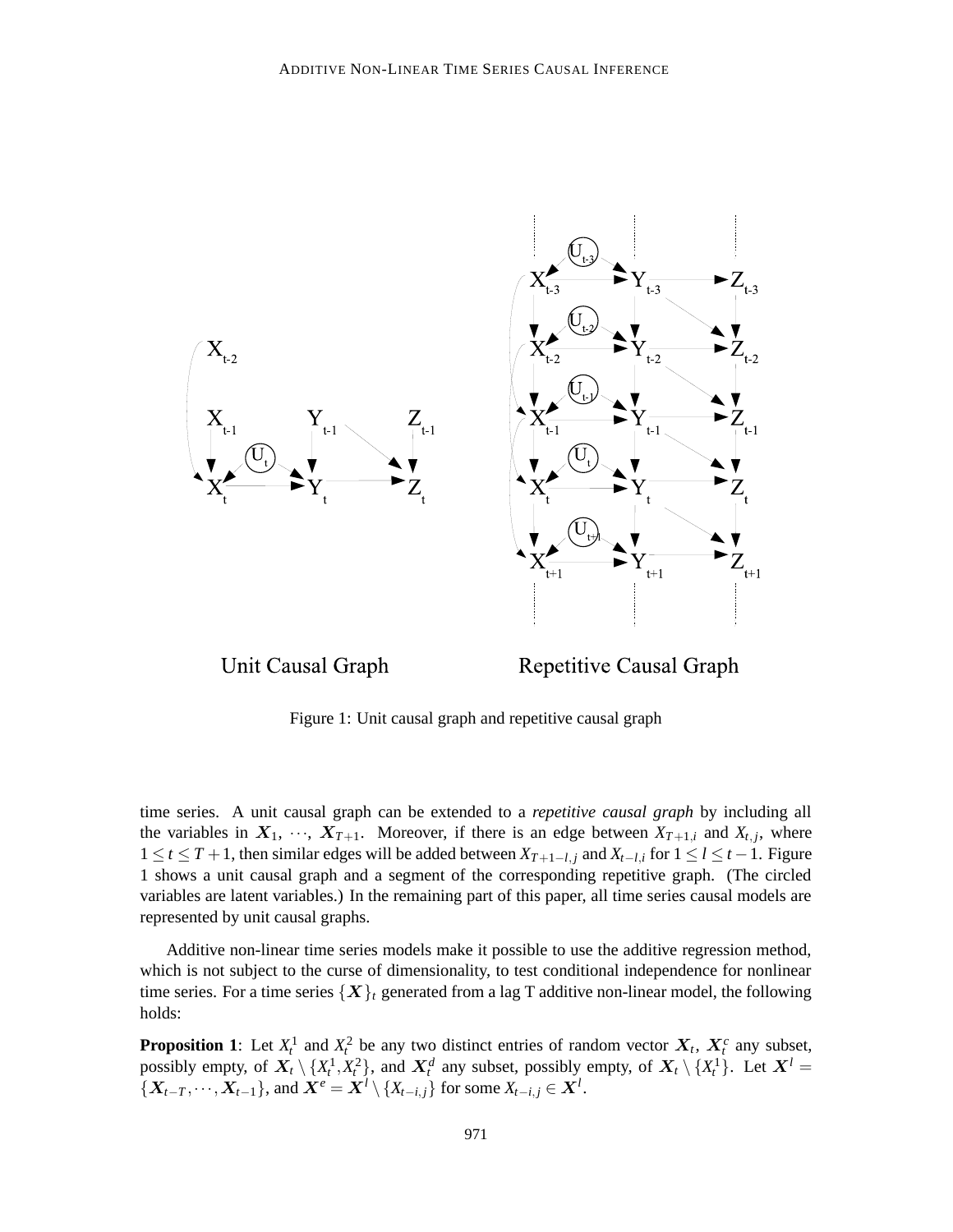

Unit Causal Graph

**Repetitive Causal Graph** 

Figure 1: Unit causal graph and repetitive causal graph

time series. A unit causal graph can be extended to a *repetitive causal graph* by including all the variables in  $X_1, \dots, X_{T+1}$ . Moreover, if there is an edge between  $X_{T+1,i}$  and  $X_{t,j}$ , where 1 ≤ *t* ≤ *T* + 1, then similar edges will be added between  $X_{T+1-l,j}$  and  $X_{t-l,i}$  for  $1 \le l \le t-1$ . Figure 1 shows a unit causal graph and a segment of the corresponding repetitive graph. (The circled variables are latent variables.) In the remaining part of this paper, all time series causal models are represented by unit causal graphs.

Additive non-linear time series models make it possible to use the additive regression method, which is not subject to the curse of dimensionality, to test conditional independence for nonlinear time series. For a time series  $\{X\}_t$  generated from a lag T additive non-linear model, the following holds:

**Proposition 1**: Let  $X_t^1$  and  $X_t^2$  be any two distinct entries of random vector  $X_t$ ,  $X_t^c$  any subset, possibly empty, of  $X_t \setminus \{X_t^1, X_t^2\}$ , and  $X_t^d$  any subset, possibly empty, of  $X_t \setminus \{X_t^1\}$ . Let  $X^l$  =  ${X_{t-T}, \dots, X_{t-1}}$ , and  $\overline{X^e} = \overline{X^l} \setminus {X_{t-i,j}}$  for some  $X_{t-i,j} \in \overline{X^l}$ .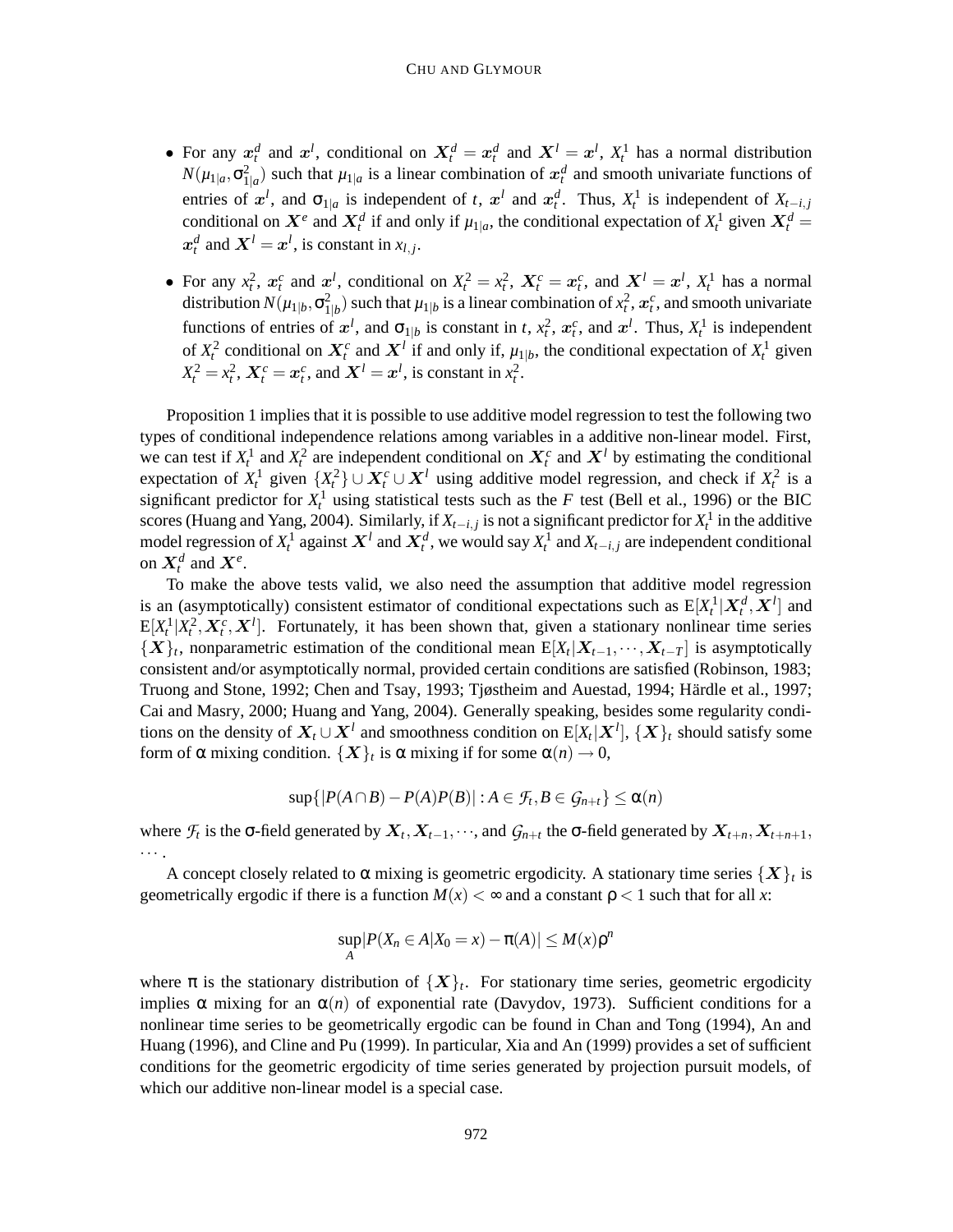- For any  $x_t^d$  and  $x^l$ , conditional on  $X_t^d = x_t^d$  and  $X^l = x^l$ ,  $X_t^1$  has a normal distribution  $N(\mu_{1|a}, \sigma_{1|a}^2)$  such that  $\mu_{1|a}$  is a linear combination of  $x_t^d$  and smooth univariate functions of entries of  $x^l$ , and  $\sigma_{1|a}$  is independent of *t*,  $x^l$  and  $x^d_t$ . Thus,  $X^1_t$  is independent of  $X_{t-i,j}$ conditional on  $X^e$  and  $X_t^d$  if and only if  $\mu_{1|a}$ , the conditional expectation of  $X_t^1$  given  $X_t^d$  =  $x_t^d$  and  $X^l = x^l$ , is constant in  $x_{l,j}$ .
- For any  $x_t^2$ ,  $x_t^c$  and  $x_t^l$ , conditional on  $X_t^2 = x_t^2$ ,  $X_t^c = x_t^c$ , and  $X_t^l = x_t^l$ ,  $X_t^l$  has a normal distribution  $N(\mu_{1|b}, \sigma_{1|b}^2)$  such that  $\mu_{1|b}$  is a linear combination of  $x_t^2$ ,  $x_t^c$ , and smooth univariate functions of entries of  $x^l$ , and  $\sigma_{1|b}$  is constant in *t*,  $x_t^2$ ,  $x_t^c$ , and  $x^l$ . Thus,  $X_t^1$  is independent of  $X_t^2$  conditional on  $X_t^c$  and  $X^l$  if and only if,  $\mu_{1|b}$ , the conditional expectation of  $X_t^1$  given  $X_t^2 = x_t^2$ ,  $X_t^c = x_t^c$ , and  $X^l = x^l$ , is constant in  $x_t^2$ .

Proposition 1 implies that it is possible to use additive model regression to test the following two types of conditional independence relations among variables in a additive non-linear model. First, we can test if  $X_t^1$  and  $X_t^2$  are independent conditional on  $X_t^c$  and  $X^l$  by estimating the conditional expectation of  $X_t^1$  given  $\{X_t^2\} \cup X_t^c \cup X_t^l$  using additive model regression, and check if  $X_t^2$  is a significant predictor for  $X_t^1$  using statistical tests such as the *F* test (Bell et al., 1996) or the BIC scores (Huang and Yang, 2004). Similarly, if  $X_{t-i,j}$  is not a significant predictor for  $X_t^1$  in the additive model regression of  $X_t^1$  against  $X^l$  and  $X_t^d$ , we would say  $X_t^1$  and  $X_{t-i,j}$  are independent conditional on  $X_t^d$  and  $X_t^e$ .

To make the above tests valid, we also need the assumption that additive model regression is an (asymptotically) consistent estimator of conditional expectations such as  $E[X_t^1 | X_t^d, X^l]$  and  $E[X_t^1 | X_t^2, X_t^c, X^l]$ . Fortunately, it has been shown that, given a stationary nonlinear time series  $\{X\}_t$ , nonparametric estimation of the conditional mean  $E[X_t|X_{t-1},\dots,X_{t-T}]$  is asymptotically consistent and/or asymptotically normal, provided certain conditions are satisfied (Robinson, 1983; Truong and Stone, 1992; Chen and Tsay, 1993; Tjøstheim and Auestad, 1994; Härdle et al., 1997; Cai and Masry, 2000; Huang and Yang, 2004). Generally speaking, besides some regularity conditions on the density of  $\bm{X}_t\cup\bm{X}^l$  and smoothness condition on  $\text{E}[X_t|\bm{X}^l],$   $\{\bm{X}\}_t$  should satisfy some form of  $\alpha$  mixing condition.  $\{X\}_t$  is  $\alpha$  mixing if for some  $\alpha(n) \to 0$ ,

$$
\sup\{|P(A\cap B)-P(A)P(B)|:A\in\mathcal{F}_t,B\in\mathcal{G}_{n+t}\}\leq\alpha(n)
$$

where  $\mathcal{F}_t$  is the  $\sigma$ -field generated by  $X_t, X_{t-1}, \dots$ , and  $\mathcal{G}_{n+t}$  the  $\sigma$ -field generated by  $X_{t+n}, X_{t+n+1}$ , ··· .

A concept closely related to  $\alpha$  mixing is geometric ergodicity. A stationary time series  $\{X\}_t$  is geometrically ergodic if there is a function  $M(x) < \infty$  and a constant  $p < 1$  such that for all x:

$$
\sup_A|P(X_n\in A|X_0=x)-\pi(A)|\leq M(x)\rho^n
$$

where  $\pi$  is the stationary distribution of  $\{X\}_t$ . For stationary time series, geometric ergodicity implies  $\alpha$  mixing for an  $\alpha(n)$  of exponential rate (Davydov, 1973). Sufficient conditions for a nonlinear time series to be geometrically ergodic can be found in Chan and Tong (1994), An and Huang (1996), and Cline and Pu (1999). In particular, Xia and An (1999) provides a set of sufficient conditions for the geometric ergodicity of time series generated by projection pursuit models, of which our additive non-linear model is a special case.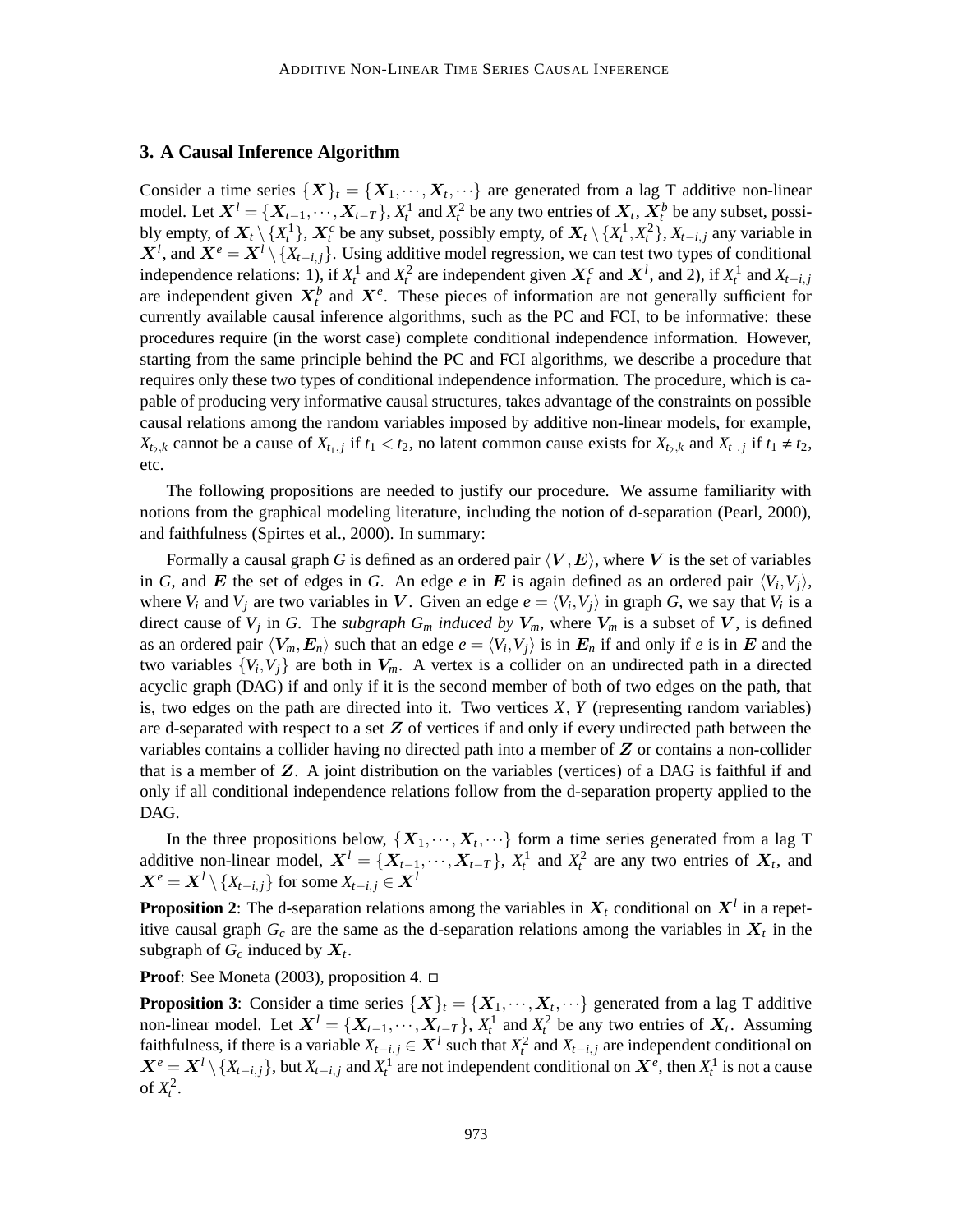### **3. A Causal Inference Algorithm**

Consider a time series  $\{X\}_t = \{X_1, \dots, X_t, \dots\}$  are generated from a lag T additive non-linear model. Let  $X^l = \{X_{t-1}, \dots, X_{t-T}\}$ ,  $X_t^1$  and  $X_t^2$  be any two entries of  $X_t$ ,  $X_t^b$  be any subset, possibly empty, of  $X_t \setminus \{X_t^1\}$ ,  $X_t^c$  be any subset, possibly empty, of  $X_t \setminus \{X_t^1, X_t^2\}$ ,  $X_{t-i,j}$  any variable in  $X^l$ , and  $X^e = X^l \setminus \{X_{t-i,j}\}$ . Using additive model regression, we can test two types of conditional independence relations: 1), if  $X_t^1$  and  $X_t^2$  are independent given  $X_t^c$  and  $X_t^1$ , and 2), if  $X_t^1$  and  $X_{t-i,j}$ are independent given  $X_t^b$  and  $X_t^e$ . These pieces of information are not generally sufficient for currently available causal inference algorithms, such as the PC and FCI, to be informative: these procedures require (in the worst case) complete conditional independence information. However, starting from the same principle behind the PC and FCI algorithms, we describe a procedure that requires only these two types of conditional independence information. The procedure, which is capable of producing very informative causal structures, takes advantage of the constraints on possible causal relations among the random variables imposed by additive non-linear models, for example, *X*<sub>t<sub>2</sub>,*k*</sub> cannot be a cause of  $X_{t_1,j}$  if  $t_1 < t_2$ , no latent common cause exists for  $X_{t_2,k}$  and  $X_{t_1,j}$  if  $t_1 \neq t_2$ , etc.

The following propositions are needed to justify our procedure. We assume familiarity with notions from the graphical modeling literature, including the notion of d-separation (Pearl, 2000), and faithfulness (Spirtes et al., 2000). In summary:

Formally a causal graph *G* is defined as an ordered pair  $\langle V, E \rangle$ , where V is the set of variables in *G*, and *E* the set of edges in *G*. An edge *e* in *E* is again defined as an ordered pair  $\langle V_i, V_j \rangle$ , where  $V_i$  and  $V_j$  are two variables in V. Given an edge  $e = \langle V_i, V_j \rangle$  in graph G, we say that  $V_i$  is a direct cause of  $V_j$  in *G*. The *subgraph*  $G_m$  *induced by*  $V_m$ , where  $V_m$  is a subset of V, is defined as an ordered pair  $\langle V_m, E_n \rangle$  such that an edge  $e = \langle V_i, V_j \rangle$  is in  $E_n$  if and only if *e* is in E and the two variables  $\{V_i, V_j\}$  are both in  $V_m$ . A vertex is a collider on an undirected path in a directed acyclic graph (DAG) if and only if it is the second member of both of two edges on the path, that is, two edges on the path are directed into it. Two vertices *X*, *Y* (representing random variables) are d-separated with respect to a set  $Z$  of vertices if and only if every undirected path between the variables contains a collider having no directed path into a member of  $Z$  or contains a non-collider that is a member of  $Z$ . A joint distribution on the variables (vertices) of a DAG is faithful if and only if all conditional independence relations follow from the d-separation property applied to the DAG.

In the three propositions below,  $\{X_1, \dots, X_t, \dots\}$  form a time series generated from a lag T additive non-linear model,  $X^l = \{X_{t-1}, \dots, X_{t-T}\}$ ,  $X_t^1$  and  $X_t^2$  are any two entries of  $X_t$ , and  $X^e = X^l \setminus \{X_{t-i}, j\}$  for some  $X_{t-i}, j \in X^l$ 

**Proposition 2**: The d-separation relations among the variables in  $X_t$  conditional on  $X^l$  in a repetitive causal graph  $G_c$  are the same as the d-separation relations among the variables in  $X_t$  in the subgraph of  $G_c$  induced by  $X_t$ .

**Proof**: See Moneta (2003), proposition 4.

**Proposition 3**: Consider a time series  $\{X\}_t = \{X_1, \dots, X_t, \dots\}$  generated from a lag T additive non-linear model. Let  $X^l = \{X_{t-1}, \dots, X_{t-T}\}$ ,  $X_t^1$  and  $X_t^2$  be any two entries of  $X_t$ . Assuming faithfulness, if there is a variable  $X_{t-i,j} \in \mathbf{X}^l$  such that  $X_t^2$  and  $X_{t-i,j}$  are independent conditional on  $X^e = X^l \setminus \{X_{t-i,j}\}$ , but  $X_{t-i,j}$  and  $X_t^1$  are not independent conditional on  $X^e$ , then  $X_t^1$  is not a cause of  $X_t^2$ .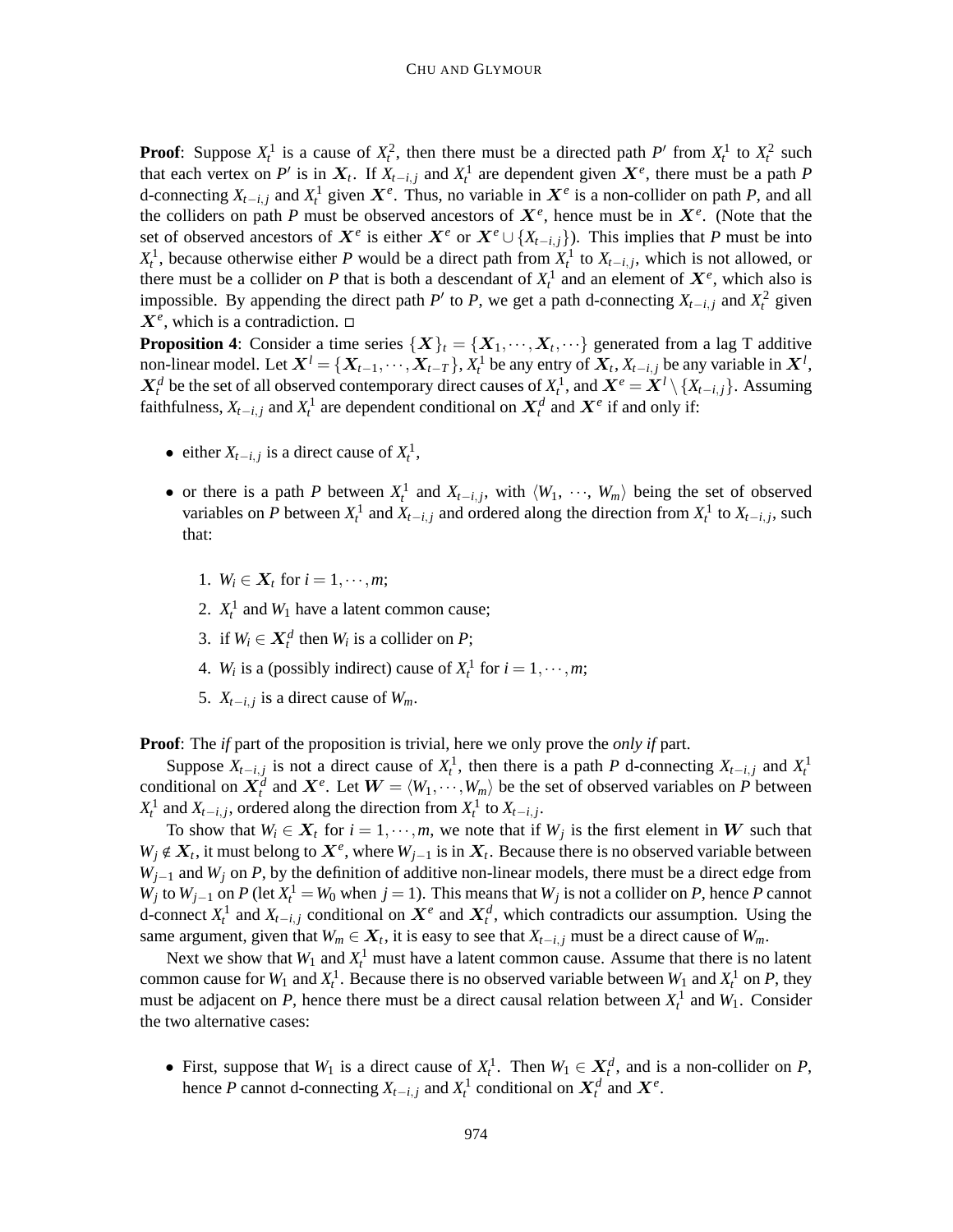**Proof**: Suppose  $X_t^1$  is a cause of  $X_t^2$ , then there must be a directed path P' from  $X_t^1$  to  $X_t^2$  such that each vertex on *P*<sup>*i*</sup> is in  $X_t$ . If  $X_{t-i,j}$  and  $X_t^1$  are dependent given  $X^e$ , there must be a path *P* d-connecting  $X_{t-i,j}$  and  $X_t^1$  given  $X^e$ . Thus, no variable in  $X^e$  is a non-collider on path *P*, and all the colliders on path *P* must be observed ancestors of  $X^e$ , hence must be in  $X^e$ . (Note that the set of observed ancestors of  $X^e$  is either  $X^e$  or  $X^e \cup \{X_{t-i,j}\}$ ). This implies that *P* must be into  $X_t^1$ , because otherwise either *P* would be a direct path from  $X_t^1$  to  $X_{t-i,j}$ , which is not allowed, or there must be a collider on *P* that is both a descendant of  $X_t^1$  and an element of  $X_e^e$ , which also is impossible. By appending the direct path *P*<sup> $\prime$ </sup> to *P*, we get a path d-connecting  $X_{t-i,j}$  and  $X_t^2$  given  $X^e$ , which is a contradiction.  $\Box$ 

**Proposition 4:** Consider a time series  $\{X\}_t = \{X_1, \dots, X_t, \dots\}$  generated from a lag T additive non-linear model. Let  $X^l = \{X_{t-1}, \dots, X_{t-T}\}$ ,  $X_t^1$  be any entry of  $X_t, X_{t-i,j}$  be any variable in  $X^l$ ,  $X_t^d$  be the set of all observed contemporary direct causes of  $X_t^1$ , and  $X^e = X^l \setminus \{X_{t-i,j}\}$ . Assuming faithfulness,  $X_{t-i,j}$  and  $X_t^1$  are dependent conditional on  $X_t^d$  and  $X^e$  if and only if:

- either  $X_{t-i,j}$  is a direct cause of  $X_t^1$ ,
- or there is a path *P* between  $X_t^1$  and  $X_{t-i,j}$ , with  $\langle W_1, \cdots, W_m \rangle$  being the set of observed variables on *P* between  $X_t^1$  and  $X_{t-i,j}$  and ordered along the direction from  $X_t^1$  to  $X_{t-i,j}$ , such that:
	- 1.  $W_i \in X_t$  for  $i = 1, \dots, m$ ;
	- 2.  $X_t^1$  and  $W_1$  have a latent common cause;
	- 3. if  $W_i \in \mathbf{X}_t^d$  then  $W_i$  is a collider on  $P$ ;
	- 4. *W<sub>i</sub>* is a (possibly indirect) cause of  $X_t^1$  for  $i = 1, \dots, m$ ;
	- 5.  $X_{t-i,j}$  is a direct cause of  $W_m$ .

**Proof**: The *if* part of the proposition is trivial, here we only prove the *only if* part.

Suppose  $X_{t-i,j}$  is not a direct cause of  $X_t^1$ , then there is a path *P* d-connecting  $X_{t-i,j}$  and  $X_t^1$ conditional on  $X_t^d$  and  $X^e$ . Let  $W = \langle W_1, \dots, W_m \rangle$  be the set of observed variables on *P* between *X*<sup>1</sup> and *X*<sub>*t*−*i*, *j*</sub>, ordered along the direction from *X*<sup>1</sup><sup>1</sup> to *X*<sub>*t*−*i*, *j*</sub>.

To show that  $W_i \in X_t$  for  $i = 1, \dots, m$ , we note that if  $W_j$  is the first element in W such that  $W_j \notin X_t$ , it must belong to  $X^e$ , where  $W_{j-1}$  is in  $X_t$ . Because there is no observed variable between *W*<sub>*j*−1</sub> and *W*<sub>*j*</sub> on *P*, by the definition of additive non-linear models, there must be a direct edge from  $W_j$  to  $W_{j-1}$  on *P* (let  $X_t^1 = W_0$  when  $j = 1$ ). This means that  $W_j$  is not a collider on *P*, hence *P* cannot d-connect  $X_t^1$  and  $X_{t-i,j}$  conditional on  $X^e$  and  $X_t^d$ , which contradicts our assumption. Using the same argument, given that  $W_m \in X_t$ , it is easy to see that  $X_{t-i,j}$  must be a direct cause of  $W_m$ .

Next we show that  $W_1$  and  $X_t^1$  must have a latent common cause. Assume that there is no latent common cause for  $W_1$  and  $X_t^1$ . Because there is no observed variable between  $W_1$  and  $X_t^1$  on  $P$ , they must be adjacent on *P*, hence there must be a direct causal relation between  $X_t^1$  and  $W_1$ . Consider the two alternative cases:

• First, suppose that  $W_1$  is a direct cause of  $X_t^1$ . Then  $W_1 \in X_t^d$ , and is a non-collider on *P*, hence *P* cannot d-connecting  $X_{t-i,j}$  and  $X_t^1$  conditional on  $X_t^d$  and  $X^e$ .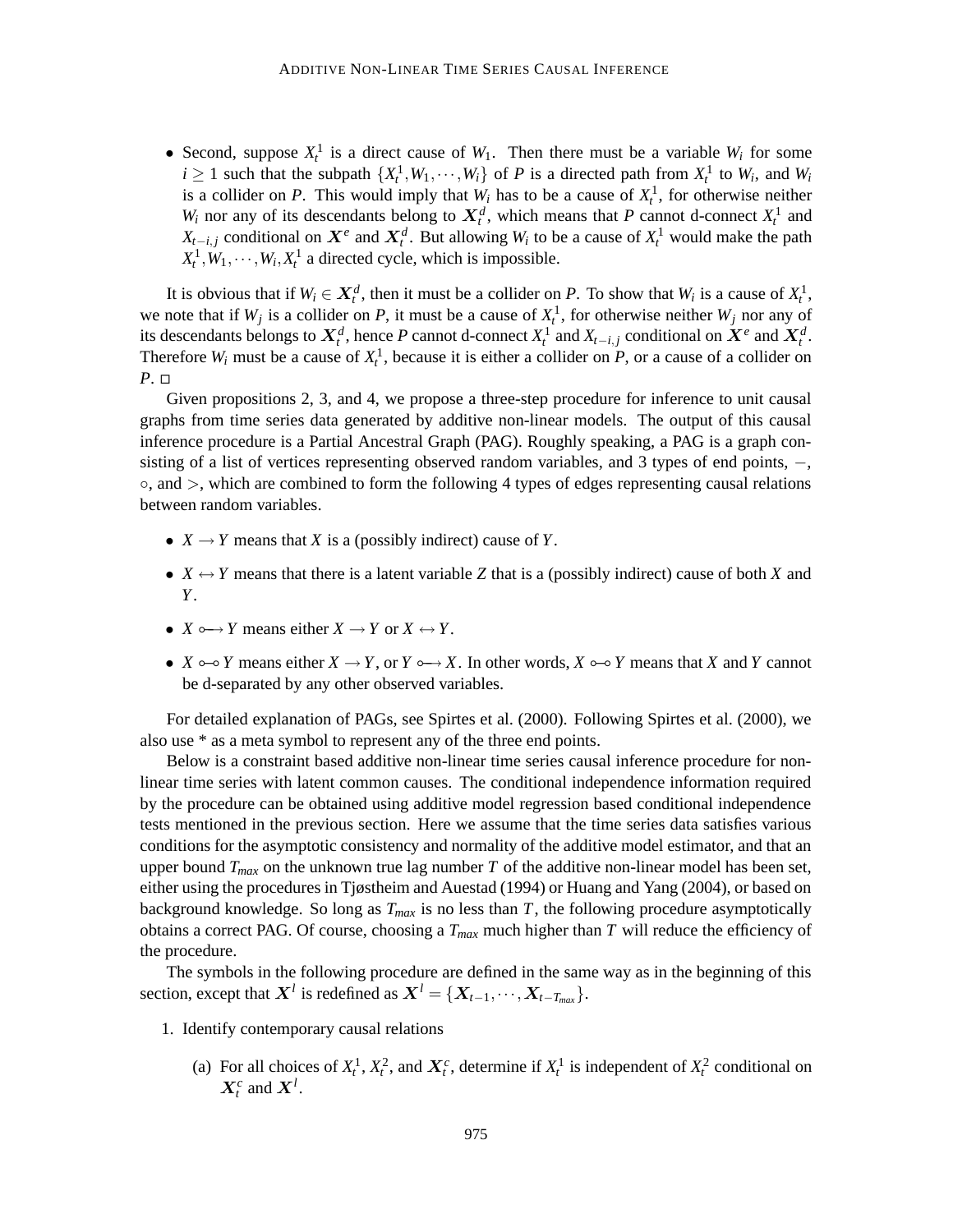• Second, suppose  $X_t^1$  is a direct cause of  $W_1$ . Then there must be a variable  $W_i$  for some  $i \geq 1$  such that the subpath  $\{X_t^1, W_1, \dots, W_i\}$  of *P* is a directed path from  $X_t^1$  to  $W_i$ , and  $W_i$ is a collider on *P*. This would imply that  $W_i$  has to be a cause of  $X_i^1$ , for otherwise neither *W*<sub>*i*</sub> nor any of its descendants belong to  $X_t^d$ , which means that *P* cannot d-connect  $X_t^1$  and *X*<sub>*t*−*i*, *j* conditional on  $X^e$  and  $X^d_t$ . But allowing  $W_i$  to be a cause of  $X^1_t$  would make the path</sub>  $X_t^1, W_1, \dots, W_i, X_t^1$  a directed cycle, which is impossible.

It is obvious that if  $W_i \in X_t^d$ , then it must be a collider on *P*. To show that  $W_i$  is a cause of  $X_t^1$ , we note that if  $W_j$  is a collider on *P*, it must be a cause of  $X_t^1$ , for otherwise neither  $W_j$  nor any of its descendants belongs to  $X_t^d$ , hence *P* cannot d-connect  $X_t^1$  and  $X_{t-i,j}$  conditional on  $X^e$  and  $X_t^d$ . Therefore  $W_i$  must be a cause of  $X_t^1$ , because it is either a collider on  $P$ , or a cause of a collider on *P*. □

Given propositions 2, 3, and 4, we propose a three-step procedure for inference to unit causal graphs from time series data generated by additive non-linear models. The output of this causal inference procedure is a Partial Ancestral Graph (PAG). Roughly speaking, a PAG is a graph consisting of a list of vertices representing observed random variables, and 3 types of end points, –, ◦, and >, which are combined to form the following 4 types of edges representing causal relations between random variables.

- $X \rightarrow Y$  means that *X* is a (possibly indirect) cause of *Y*.
- $X \leftrightarrow Y$  means that there is a latent variable *Z* that is a (possibly indirect) cause of both *X* and *Y*.
- $X \rightarrow Y$  means either  $X \rightarrow Y$  or  $X \leftrightarrow Y$ .
- *X*  $\circ$  *Y* means either *X*  $\to$  *Y*, or *Y*  $\circ$   $\to$  *X*. In other words, *X*  $\circ$   $\circ$  *Y* means that *X* and *Y* cannot be d-separated by any other observed variables.

For detailed explanation of PAGs, see Spirtes et al. (2000). Following Spirtes et al. (2000), we also use \* as a meta symbol to represent any of the three end points.

Below is a constraint based additive non-linear time series causal inference procedure for nonlinear time series with latent common causes. The conditional independence information required by the procedure can be obtained using additive model regression based conditional independence tests mentioned in the previous section. Here we assume that the time series data satisfies various conditions for the asymptotic consistency and normality of the additive model estimator, and that an upper bound  $T_{max}$  on the unknown true lag number  $T$  of the additive non-linear model has been set, either using the procedures in Tjøstheim and Auestad (1994) or Huang and Yang (2004), or based on background knowledge. So long as *Tmax* is no less than *T*, the following procedure asymptotically obtains a correct PAG. Of course, choosing a *Tmax* much higher than *T* will reduce the efficiency of the procedure.

The symbols in the following procedure are defined in the same way as in the beginning of this section, except that  $X^l$  is redefined as  $X^l = \{X_{t-1}, \dots, X_{t-T_{max}}\}.$ 

- 1. Identify contemporary causal relations
	- (a) For all choices of  $X_t^1$ ,  $X_t^2$ , and  $X_t^c$ , determine if  $X_t^1$  is independent of  $X_t^2$  conditional on  $X_t^c$  and  $X^l$ .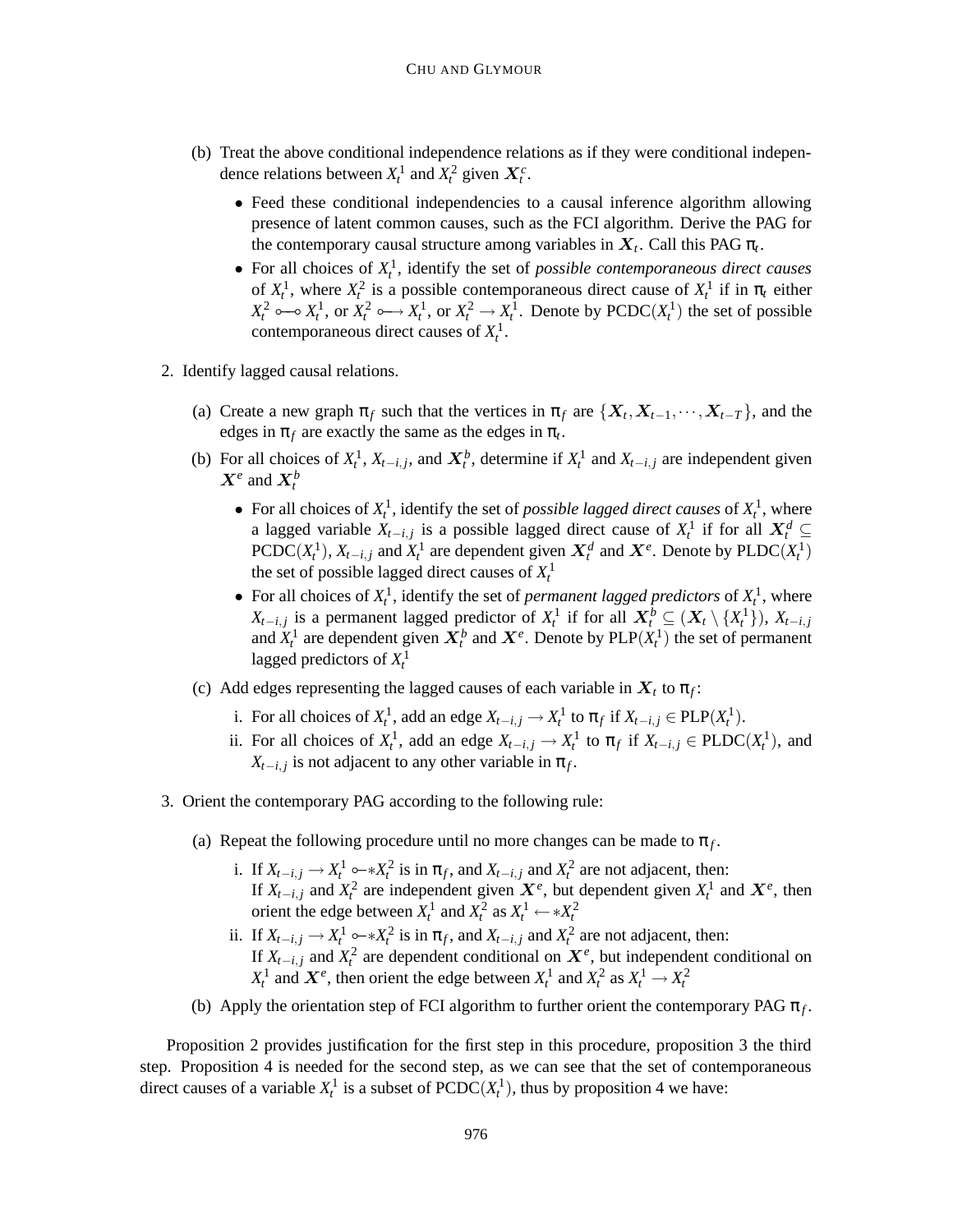- (b) Treat the above conditional independence relations as if they were conditional independence relations between  $X_t^1$  and  $X_t^2$  given  $X_t^c$ .
	- Feed these conditional independencies to a causal inference algorithm allowing presence of latent common causes, such as the FCI algorithm. Derive the PAG for the contemporary causal structure among variables in  $X_t$ . Call this PAG  $\pi_t$ .
	- For all choices of *X* 1 *t* , identify the set of *possible contemporaneous direct causes* of  $X_t^1$ , where  $X_t^2$  is a possible contemporaneous direct cause of  $X_t^1$  if in  $\pi_t$  either  $X_t^2 \rightarrow X_t^1$ , or  $X_t^2 \rightarrow X_t^1$ , or  $X_t^2 \rightarrow X_t^1$ . Denote by PCDC $(X_t^1)$  the set of possible contemporaneous direct causes of  $X_t^1$ .
- 2. Identify lagged causal relations.
	- (a) Create a new graph  $\pi_f$  such that the vertices in  $\pi_f$  are  $\{X_t, X_{t-1}, \dots, X_{t-T}\}$ , and the edges in  $\pi_f$  are exactly the same as the edges in  $\pi_t$ .
	- (b) For all choices of  $X_t^1$ ,  $X_{t-i,j}$ , and  $X_t^b$ , determine if  $X_t^1$  and  $X_{t-i,j}$  are independent given  $X^e$  and  $X^b_t$ 
		- For all choices of  $X_t^1$ , identify the set of *possible lagged direct causes* of  $X_t^1$ , where a lagged variable  $X_{t-i,j}$  is a possible lagged direct cause of  $X_t^1$  if for all  $X_t^d$ PCDC( $X_t^1$ ),  $X_{t-i,j}$  and  $X_t^1$  are dependent given  $X_t^d$  and  $X^e$ . Denote by PLDC( $X_t^1$ ) the set of possible lagged direct causes of  $X_t^1$
		- For all choices of  $X_t^1$ , identify the set of *permanent* lagged *predictors* of  $X_t^1$ , where *X*<sub>t−*i*</sub>, *j* is a permanent lagged predictor of  $X_t^1$  if for all  $X_t^b \subseteq (X_t \setminus \{X_t^1\})$ ,  $X_{t-i,j}$ and  $X_t^1$  are dependent given  $X_t^b$  and  $X^e$ . Denote by  $PLP(X_t^1)$  the set of permanent lagged predictors of *X* 1 *t*
	- (c) Add edges representing the lagged causes of each variable in  $X_t$  to  $\pi_f$ :
		- i. For all choices of  $X_t^1$ , add an edge  $X_{t-i,j} \to X_t^1$  to  $\pi_f$  if  $X_{t-i,j} \in PLP(X_t^1)$ .
		- ii. For all choices of  $X_t^1$ , add an edge  $X_{t-i,j} \to X_t^1$  to  $\pi_f$  if  $X_{t-i,j} \in \text{PLDC}(X_t^1)$ , and  $X_{t-i,j}$  is not adjacent to any other variable in  $\pi_f$ .
- 3. Orient the contemporary PAG according to the following rule:
	- (a) Repeat the following procedure until no more changes can be made to  $\pi_f$ .
		- i. If  $X_{t-i,j} \to X_t^1 \circ X_t^2$  is in  $\pi_f$ , and  $X_{t-i,j}$  and  $X_t^2$  are not adjacent, then: If  $X_{t-i,j}$  and  $X_t^2$  are independent given  $X^e$ , but dependent given  $X_t^1$  and  $X^e$ , then orient the edge between  $X_t^1$  and  $X_t^2$  as  $X_t^1 \leftarrow *X_t^2$
		- ii. If  $X_{t-i,j} \to X_t^1 \circ X_t^2$  is in  $\pi_f$ , and  $X_{t-i,j}$  and  $X_t^2$  are not adjacent, then: If  $X_{t-i,j}$  and  $X_t^2$  are dependent conditional on  $X^e$ , but independent conditional on *X*<sup>1</sup> and  $X^e$ , then orient the edge between  $X_t^1$  and  $X_t^2$  as  $X_t^1 \to X_t^2$
	- (b) Apply the orientation step of FCI algorithm to further orient the contemporary PAG  $\pi_f$ .

Proposition 2 provides justification for the first step in this procedure, proposition 3 the third step. Proposition 4 is needed for the second step, as we can see that the set of contemporaneous direct causes of a variable  $X_t^1$  is a subset of  $\text{PCDC}(X_t^1)$ , thus by proposition 4 we have: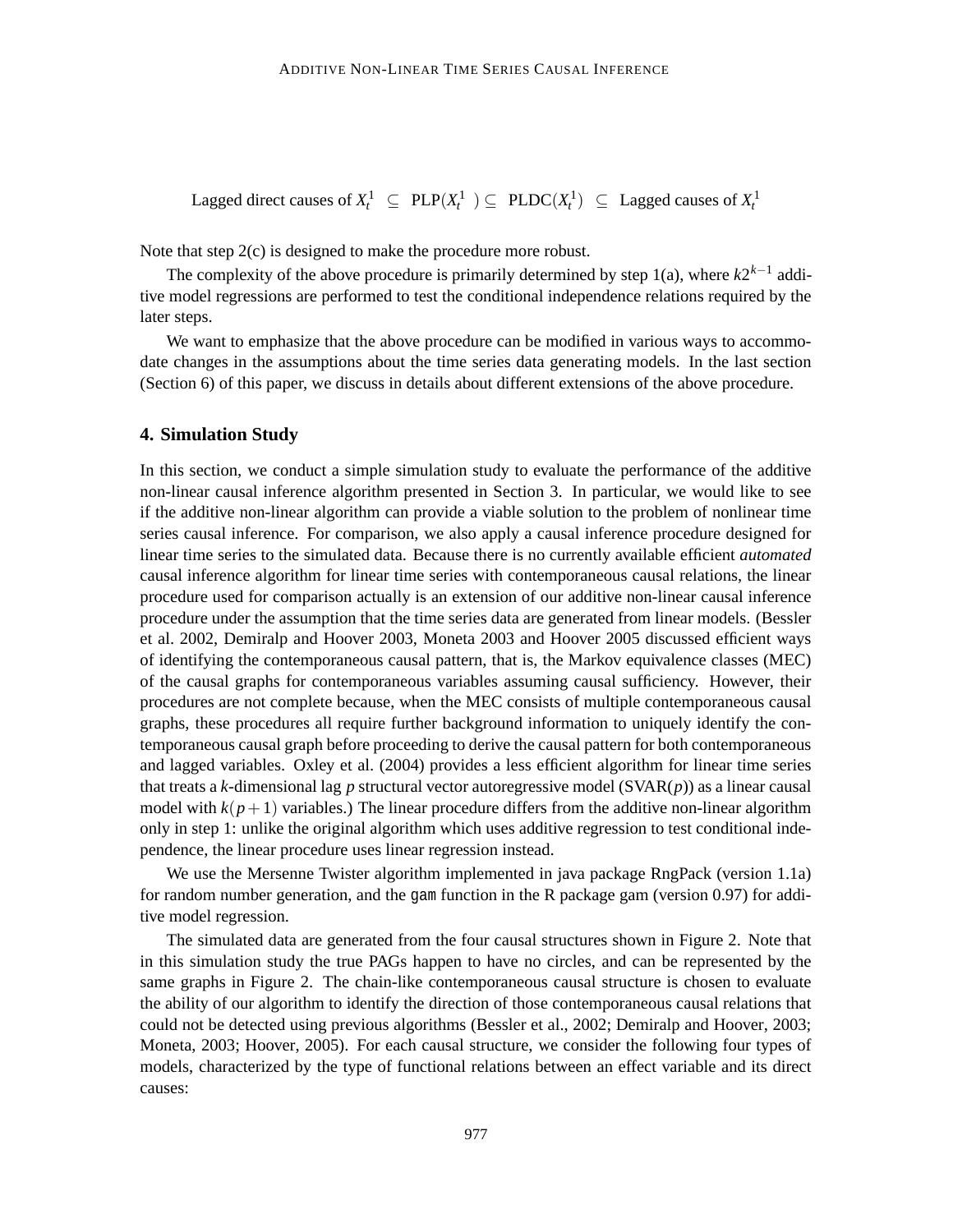Lagged direct causes of  $X_t^1 \subseteq PLP(X_t^1) \subseteq PLDC(X_t^1) \subseteq Lag$  Lagged causes of  $X_t^1$ 

Note that step 2(c) is designed to make the procedure more robust.

The complexity of the above procedure is primarily determined by step 1(a), where  $k2^{k-1}$  additive model regressions are performed to test the conditional independence relations required by the later steps.

We want to emphasize that the above procedure can be modified in various ways to accommodate changes in the assumptions about the time series data generating models. In the last section (Section 6) of this paper, we discuss in details about different extensions of the above procedure.

#### **4. Simulation Study**

In this section, we conduct a simple simulation study to evaluate the performance of the additive non-linear causal inference algorithm presented in Section 3. In particular, we would like to see if the additive non-linear algorithm can provide a viable solution to the problem of nonlinear time series causal inference. For comparison, we also apply a causal inference procedure designed for linear time series to the simulated data. Because there is no currently available efficient *automated* causal inference algorithm for linear time series with contemporaneous causal relations, the linear procedure used for comparison actually is an extension of our additive non-linear causal inference procedure under the assumption that the time series data are generated from linear models. (Bessler et al. 2002, Demiralp and Hoover 2003, Moneta 2003 and Hoover 2005 discussed efficient ways of identifying the contemporaneous causal pattern, that is, the Markov equivalence classes (MEC) of the causal graphs for contemporaneous variables assuming causal sufficiency. However, their procedures are not complete because, when the MEC consists of multiple contemporaneous causal graphs, these procedures all require further background information to uniquely identify the contemporaneous causal graph before proceeding to derive the causal pattern for both contemporaneous and lagged variables. Oxley et al. (2004) provides a less efficient algorithm for linear time series that treats a *k*-dimensional lag *p* structural vector autoregressive model (SVAR(*p*)) as a linear causal model with  $k(p+1)$  variables.) The linear procedure differs from the additive non-linear algorithm only in step 1: unlike the original algorithm which uses additive regression to test conditional independence, the linear procedure uses linear regression instead.

We use the Mersenne Twister algorithm implemented in java package RngPack (version 1.1a) for random number generation, and the gam function in the R package gam (version 0.97) for additive model regression.

The simulated data are generated from the four causal structures shown in Figure 2. Note that in this simulation study the true PAGs happen to have no circles, and can be represented by the same graphs in Figure 2. The chain-like contemporaneous causal structure is chosen to evaluate the ability of our algorithm to identify the direction of those contemporaneous causal relations that could not be detected using previous algorithms (Bessler et al., 2002; Demiralp and Hoover, 2003; Moneta, 2003; Hoover, 2005). For each causal structure, we consider the following four types of models, characterized by the type of functional relations between an effect variable and its direct causes: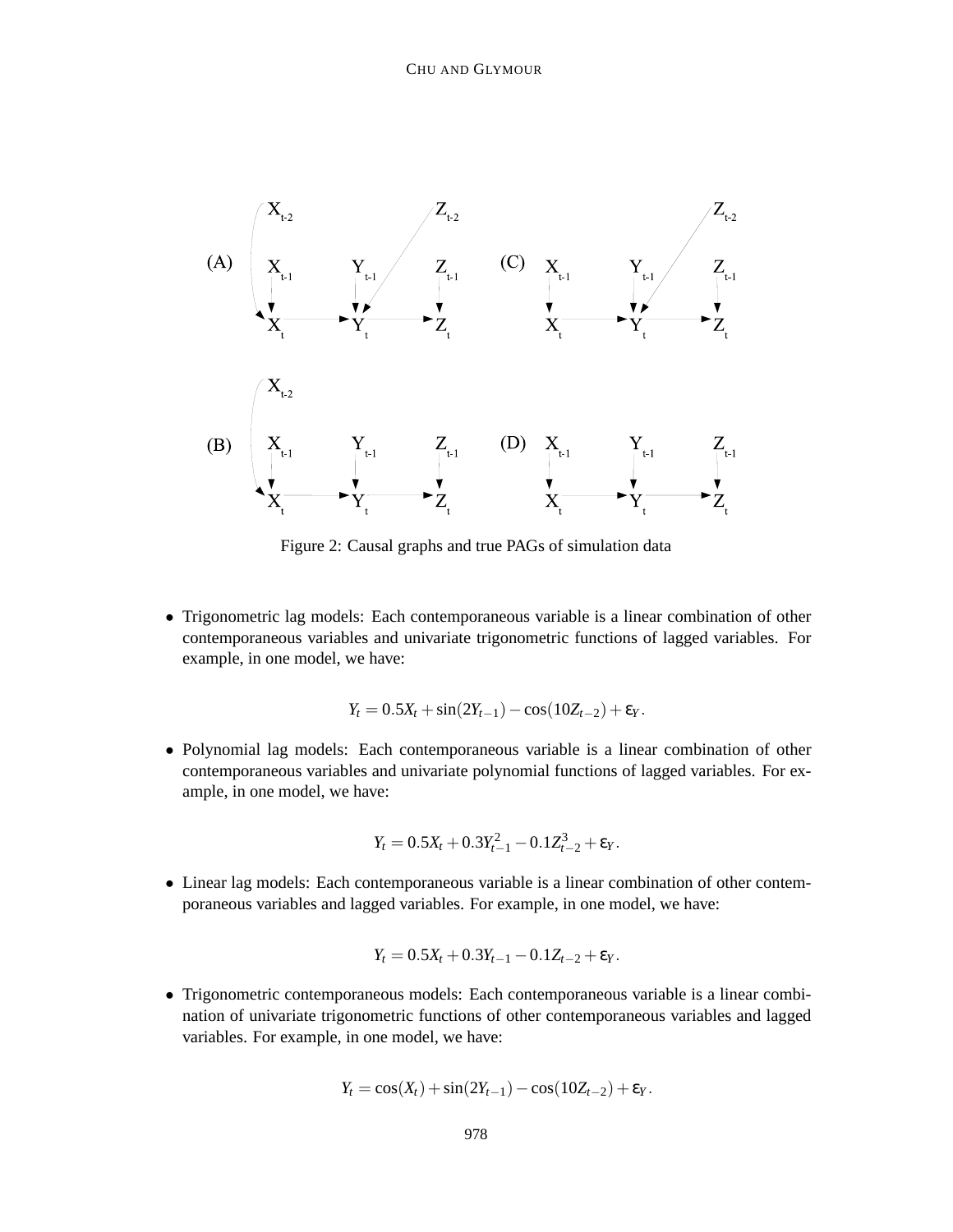

Figure 2: Causal graphs and true PAGs of simulation data

• Trigonometric lag models: Each contemporaneous variable is a linear combination of other contemporaneous variables and univariate trigonometric functions of lagged variables. For example, in one model, we have:

$$
Y_t = 0.5X_t + \sin(2Y_{t-1}) - \cos(10Z_{t-2}) + \varepsilon_Y.
$$

• Polynomial lag models: Each contemporaneous variable is a linear combination of other contemporaneous variables and univariate polynomial functions of lagged variables. For example, in one model, we have:

$$
Y_t = 0.5X_t + 0.3Y_{t-1}^2 - 0.1Z_{t-2}^3 + \varepsilon_Y.
$$

• Linear lag models: Each contemporaneous variable is a linear combination of other contemporaneous variables and lagged variables. For example, in one model, we have:

$$
Y_t = 0.5X_t + 0.3Y_{t-1} - 0.1Z_{t-2} + \varepsilon_Y.
$$

• Trigonometric contemporaneous models: Each contemporaneous variable is a linear combination of univariate trigonometric functions of other contemporaneous variables and lagged variables. For example, in one model, we have:

$$
Y_t = \cos(X_t) + \sin(2Y_{t-1}) - \cos(10Z_{t-2}) + \varepsilon_Y.
$$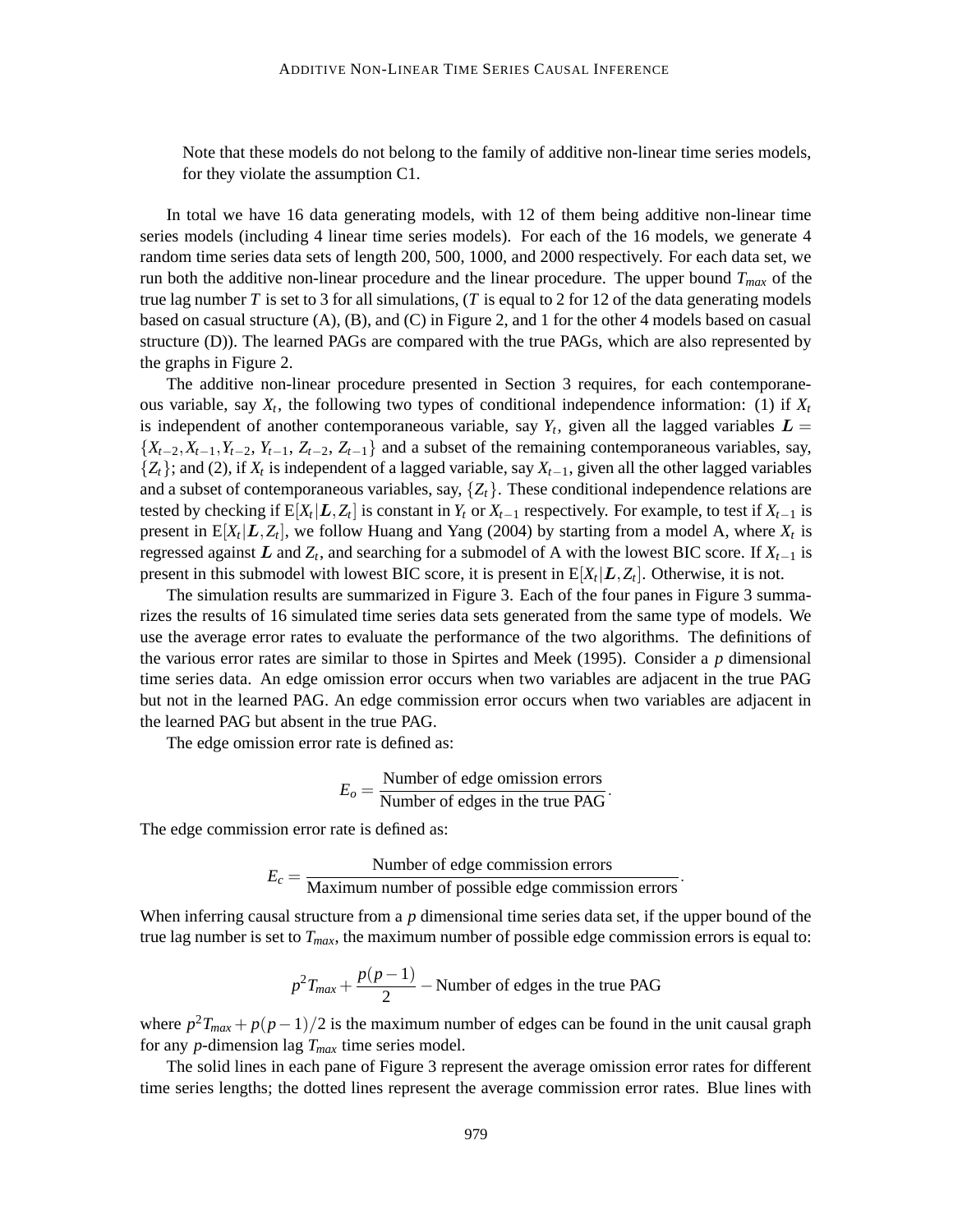Note that these models do not belong to the family of additive non-linear time series models, for they violate the assumption C1.

In total we have 16 data generating models, with 12 of them being additive non-linear time series models (including 4 linear time series models). For each of the 16 models, we generate 4 random time series data sets of length 200, 500, 1000, and 2000 respectively. For each data set, we run both the additive non-linear procedure and the linear procedure. The upper bound *Tmax* of the true lag number  $T$  is set to 3 for all simulations,  $(T \text{ is equal to } 2 \text{ for } 12 \text{ of the data generating models})$ based on casual structure (A), (B), and (C) in Figure 2, and 1 for the other 4 models based on casual structure (D)). The learned PAGs are compared with the true PAGs, which are also represented by the graphs in Figure 2.

The additive non-linear procedure presented in Section 3 requires, for each contemporaneous variable, say  $X_t$ , the following two types of conditional independence information: (1) if  $X_t$ is independent of another contemporaneous variable, say  $Y_t$ , given all the lagged variables  $L =$  ${X_{t-2}, X_{t-1}, Y_{t-2}, Y_{t-1}, Z_{t-2}, Z_{t-1}}$  and a subset of the remaining contemporaneous variables, say, {*Zt*}; and (2), if *X<sup>t</sup>* is independent of a lagged variable, say *Xt*−1, given all the other lagged variables and a subset of contemporaneous variables, say,  $\{Z_t\}$ . These conditional independence relations are tested by checking if  $E[X_t | L, Z_t]$  is constant in  $Y_t$  or  $X_{t-1}$  respectively. For example, to test if  $X_{t-1}$  is present in  $E[X_t | L, Z_t]$ , we follow Huang and Yang (2004) by starting from a model A, where  $X_t$  is regressed against  $L$  and  $Z_t$ , and searching for a submodel of A with the lowest BIC score. If  $X_{t-1}$  is present in this submodel with lowest BIC score, it is present in  $E[X_t | L, Z_t]$ . Otherwise, it is not.

The simulation results are summarized in Figure 3. Each of the four panes in Figure 3 summarizes the results of 16 simulated time series data sets generated from the same type of models. We use the average error rates to evaluate the performance of the two algorithms. The definitions of the various error rates are similar to those in Spirtes and Meek (1995). Consider a *p* dimensional time series data. An edge omission error occurs when two variables are adjacent in the true PAG but not in the learned PAG. An edge commission error occurs when two variables are adjacent in the learned PAG but absent in the true PAG.

The edge omission error rate is defined as:

$$
E_o = \frac{\text{Number of edge omission errors}}{\text{Number of edges in the true PAG}}.
$$

The edge commission error rate is defined as:

$$
E_c = \frac{\text{Number of edge commission errors}}{\text{Maximum number of possible edge commission errors}}.
$$

When inferring causal structure from a *p* dimensional time series data set, if the upper bound of the true lag number is set to *Tmax*, the maximum number of possible edge commission errors is equal to:

$$
p^2T_{max} + \frac{p(p-1)}{2}
$$
 - Number of edges in the true PAG

where *p* <sup>2</sup>*Tmax* + *p*(*p*−1)/2 is the maximum number of edges can be found in the unit causal graph for any *p*-dimension lag *Tmax* time series model.

The solid lines in each pane of Figure 3 represent the average omission error rates for different time series lengths; the dotted lines represent the average commission error rates. Blue lines with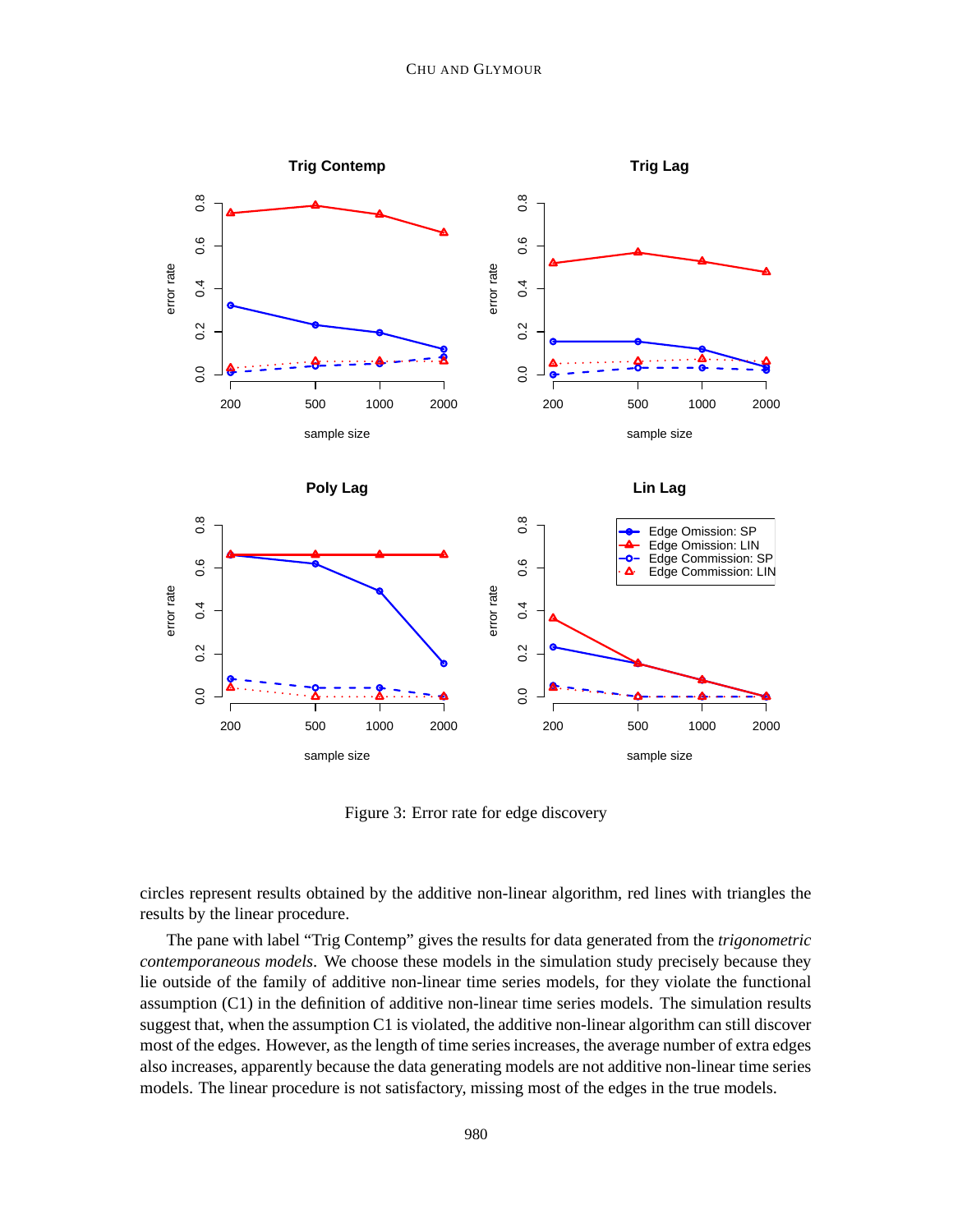

Figure 3: Error rate for edge discovery

circles represent results obtained by the additive non-linear algorithm, red lines with triangles the results by the linear procedure.

The pane with label "Trig Contemp" gives the results for data generated from the *trigonometric contemporaneous models*. We choose these models in the simulation study precisely because they lie outside of the family of additive non-linear time series models, for they violate the functional assumption (C1) in the definition of additive non-linear time series models. The simulation results suggest that, when the assumption C1 is violated, the additive non-linear algorithm can still discover most of the edges. However, as the length of time series increases, the average number of extra edges also increases, apparently because the data generating models are not additive non-linear time series models. The linear procedure is not satisfactory, missing most of the edges in the true models.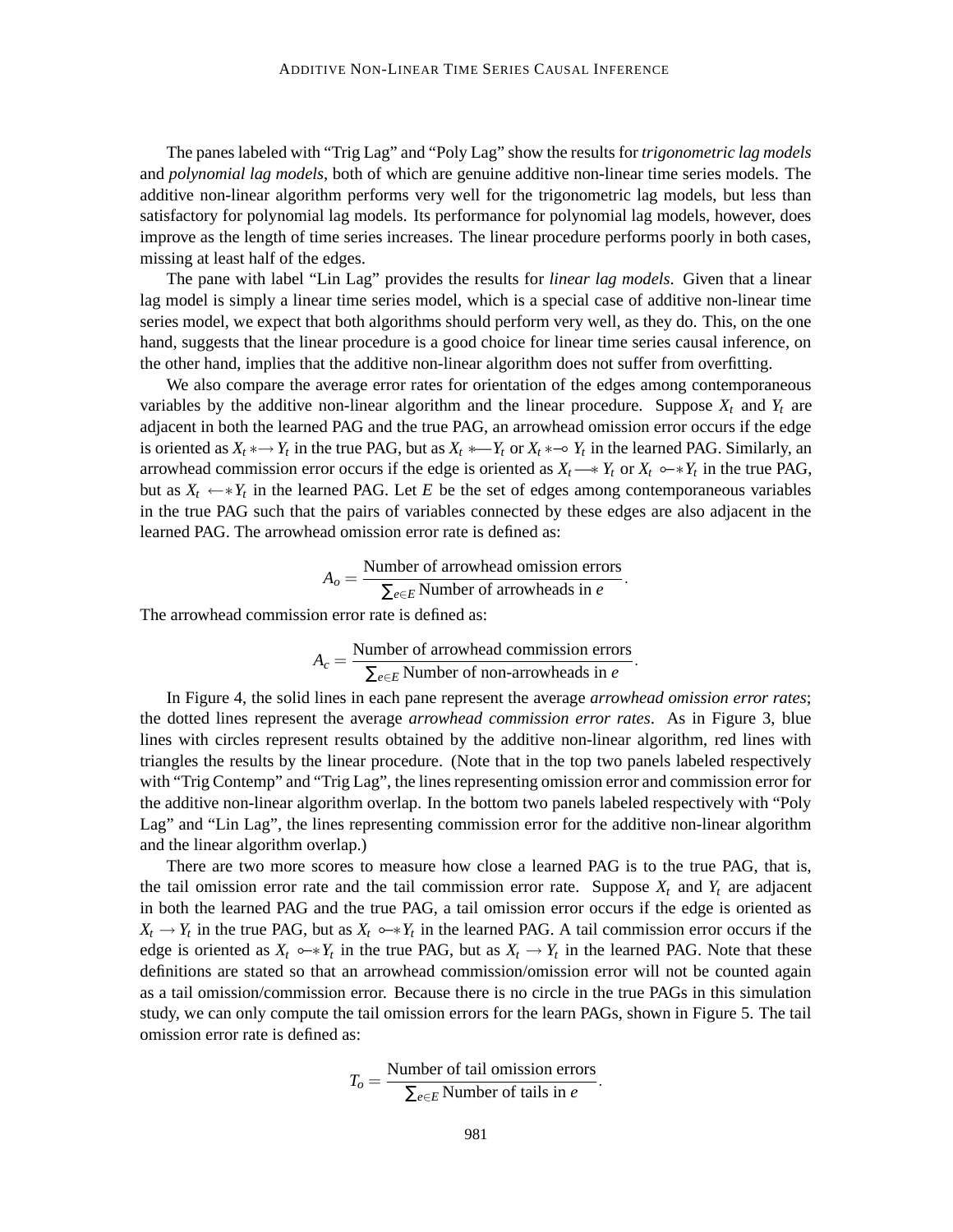The panes labeled with "Trig Lag" and "Poly Lag" show the results for *trigonometric lag models* and *polynomial lag models*, both of which are genuine additive non-linear time series models. The additive non-linear algorithm performs very well for the trigonometric lag models, but less than satisfactory for polynomial lag models. Its performance for polynomial lag models, however, does improve as the length of time series increases. The linear procedure performs poorly in both cases, missing at least half of the edges.

The pane with label "Lin Lag" provides the results for *linear lag models*. Given that a linear lag model is simply a linear time series model, which is a special case of additive non-linear time series model, we expect that both algorithms should perform very well, as they do. This, on the one hand, suggests that the linear procedure is a good choice for linear time series causal inference, on the other hand, implies that the additive non-linear algorithm does not suffer from overfitting.

We also compare the average error rates for orientation of the edges among contemporaneous variables by the additive non-linear algorithm and the linear procedure. Suppose  $X_t$  and  $Y_t$  are adjacent in both the learned PAG and the true PAG, an arrowhead omission error occurs if the edge is oriented as  $X_t * \to Y_t$  in the true PAG, but as  $X_t * \to Y_t$  or  $X_t * \to Y_t$  in the learned PAG. Similarly, an arrowhead commission error occurs if the edge is oriented as  $X_t \rightarrow Y_t$  or  $X_t \rightarrow Y_t$  in the true PAG, but as  $X_t \leftarrow *Y_t$  in the learned PAG. Let *E* be the set of edges among contemporaneous variables in the true PAG such that the pairs of variables connected by these edges are also adjacent in the learned PAG. The arrowhead omission error rate is defined as:

$$
A_o = \frac{\text{Number of arrowhead omission errors}}{\sum_{e \in E} \text{Number of arrowheads in } e}.
$$

The arrowhead commission error rate is defined as:

$$
A_c = \frac{\text{Number of arrowhead commission errors}}{\sum_{e \in E} \text{Number of non-arrowheads in } e}.
$$

In Figure 4, the solid lines in each pane represent the average *arrowhead omission error rates*; the dotted lines represent the average *arrowhead commission error rates*. As in Figure 3, blue lines with circles represent results obtained by the additive non-linear algorithm, red lines with triangles the results by the linear procedure. (Note that in the top two panels labeled respectively with "Trig Contemp" and "Trig Lag", the lines representing omission error and commission error for the additive non-linear algorithm overlap. In the bottom two panels labeled respectively with "Poly Lag" and "Lin Lag", the lines representing commission error for the additive non-linear algorithm and the linear algorithm overlap.)

There are two more scores to measure how close a learned PAG is to the true PAG, that is, the tail omission error rate and the tail commission error rate. Suppose  $X_t$  and  $Y_t$  are adjacent in both the learned PAG and the true PAG, a tail omission error occurs if the edge is oriented as  $X_t \to Y_t$  in the true PAG, but as  $X_t \to Y_t$  in the learned PAG. A tail commission error occurs if the edge is oriented as  $X_t \sim Y_t$  in the true PAG, but as  $X_t \to Y_t$  in the learned PAG. Note that these definitions are stated so that an arrowhead commission/omission error will not be counted again as a tail omission/commission error. Because there is no circle in the true PAGs in this simulation study, we can only compute the tail omission errors for the learn PAGs, shown in Figure 5. The tail omission error rate is defined as:

$$
T_o = \frac{\text{Number of tail omission errors}}{\sum_{e \in E} \text{Number of tails in } e}.
$$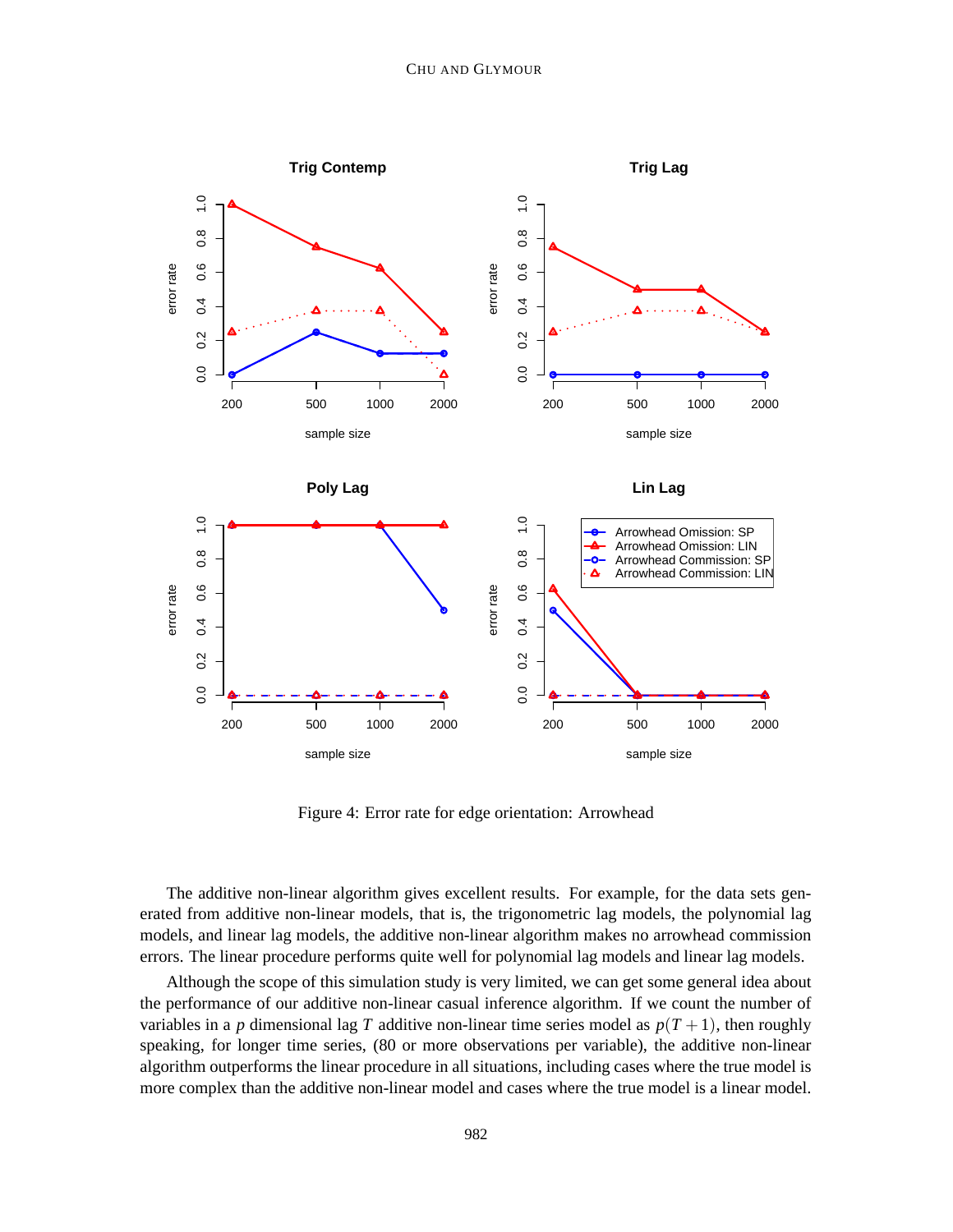

Figure 4: Error rate for edge orientation: Arrowhead

The additive non-linear algorithm gives excellent results. For example, for the data sets generated from additive non-linear models, that is, the trigonometric lag models, the polynomial lag models, and linear lag models, the additive non-linear algorithm makes no arrowhead commission errors. The linear procedure performs quite well for polynomial lag models and linear lag models.

Although the scope of this simulation study is very limited, we can get some general idea about the performance of our additive non-linear casual inference algorithm. If we count the number of variables in a *p* dimensional lag *T* additive non-linear time series model as  $p(T + 1)$ , then roughly speaking, for longer time series, (80 or more observations per variable), the additive non-linear algorithm outperforms the linear procedure in all situations, including cases where the true model is more complex than the additive non-linear model and cases where the true model is a linear model.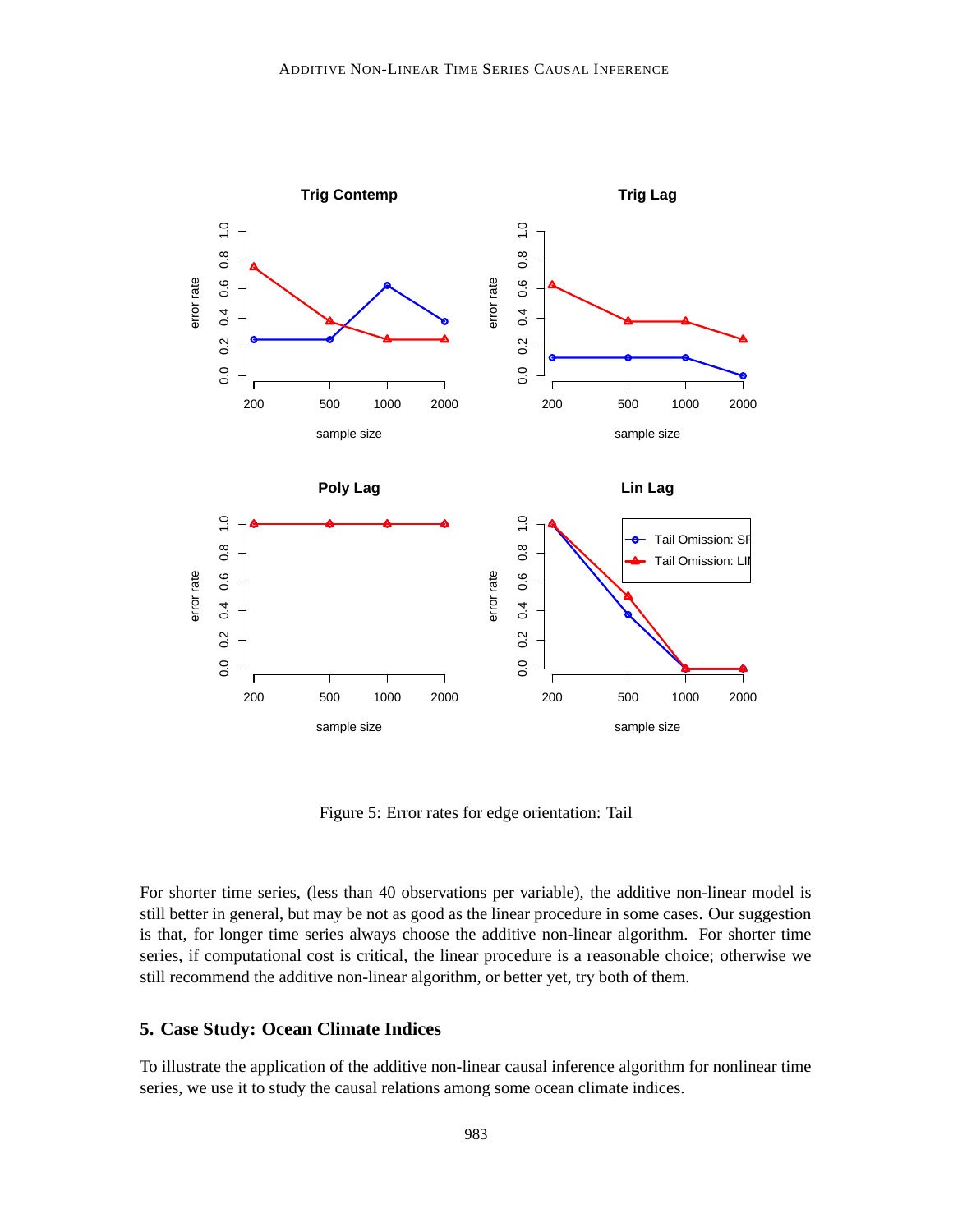

Figure 5: Error rates for edge orientation: Tail

For shorter time series, (less than 40 observations per variable), the additive non-linear model is still better in general, but may be not as good as the linear procedure in some cases. Our suggestion is that, for longer time series always choose the additive non-linear algorithm. For shorter time series, if computational cost is critical, the linear procedure is a reasonable choice; otherwise we still recommend the additive non-linear algorithm, or better yet, try both of them.

# **5. Case Study: Ocean Climate Indices**

To illustrate the application of the additive non-linear causal inference algorithm for nonlinear time series, we use it to study the causal relations among some ocean climate indices.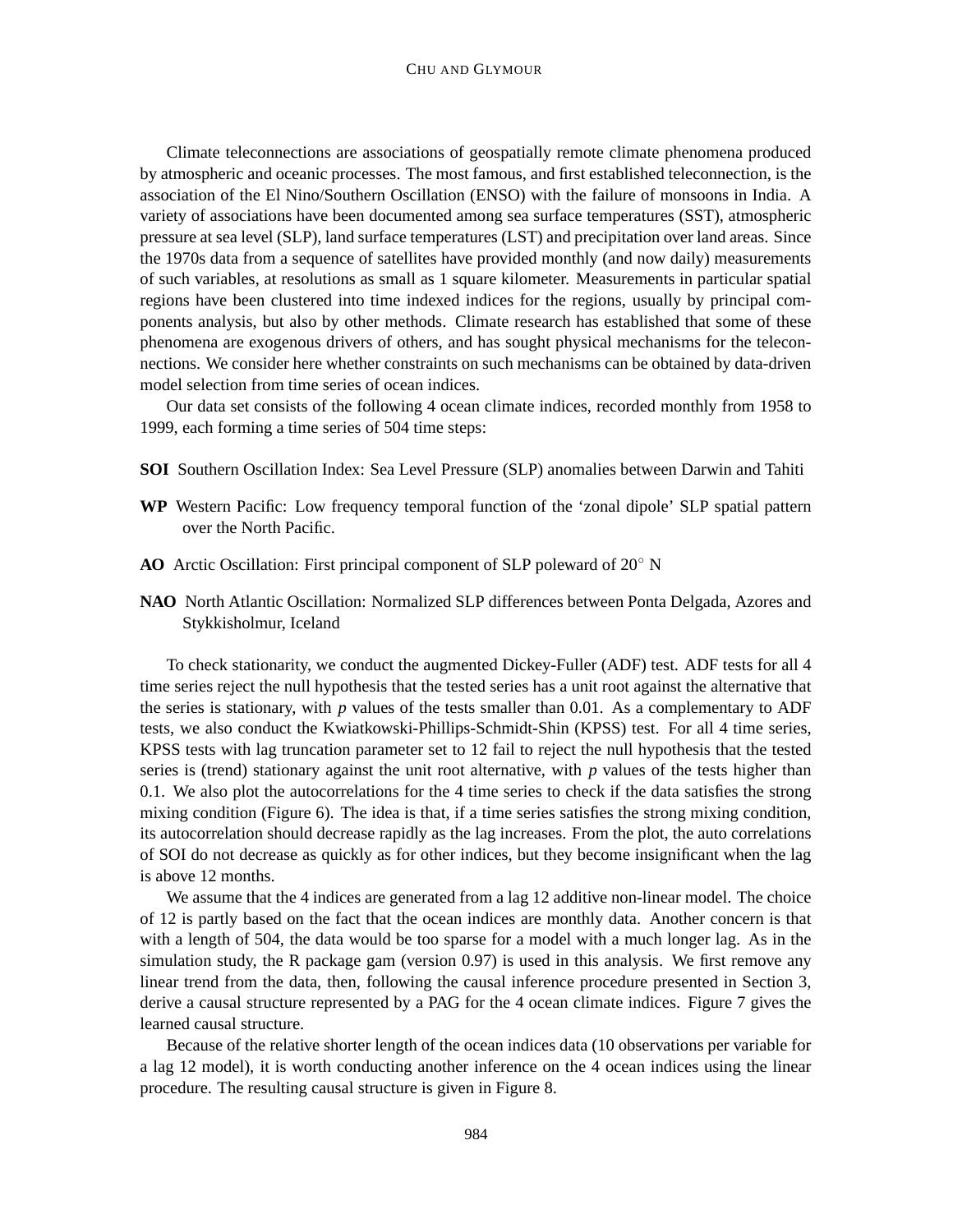Climate teleconnections are associations of geospatially remote climate phenomena produced by atmospheric and oceanic processes. The most famous, and first established teleconnection, is the association of the El Nino/Southern Oscillation (ENSO) with the failure of monsoons in India. A variety of associations have been documented among sea surface temperatures (SST), atmospheric pressure at sea level (SLP), land surface temperatures (LST) and precipitation over land areas. Since the 1970s data from a sequence of satellites have provided monthly (and now daily) measurements of such variables, at resolutions as small as 1 square kilometer. Measurements in particular spatial regions have been clustered into time indexed indices for the regions, usually by principal components analysis, but also by other methods. Climate research has established that some of these phenomena are exogenous drivers of others, and has sought physical mechanisms for the teleconnections. We consider here whether constraints on such mechanisms can be obtained by data-driven model selection from time series of ocean indices.

Our data set consists of the following 4 ocean climate indices, recorded monthly from 1958 to 1999, each forming a time series of 504 time steps:

- **SOI** Southern Oscillation Index: Sea Level Pressure (SLP) anomalies between Darwin and Tahiti
- **WP** Western Pacific: Low frequency temporal function of the 'zonal dipole' SLP spatial pattern over the North Pacific.
- **AO** Arctic Oscillation: First principal component of SLP poleward of 20◦ N
- **NAO** North Atlantic Oscillation: Normalized SLP differences between Ponta Delgada, Azores and Stykkisholmur, Iceland

To check stationarity, we conduct the augmented Dickey-Fuller (ADF) test. ADF tests for all 4 time series reject the null hypothesis that the tested series has a unit root against the alternative that the series is stationary, with *p* values of the tests smaller than 0.01. As a complementary to ADF tests, we also conduct the Kwiatkowski-Phillips-Schmidt-Shin (KPSS) test. For all 4 time series, KPSS tests with lag truncation parameter set to 12 fail to reject the null hypothesis that the tested series is (trend) stationary against the unit root alternative, with *p* values of the tests higher than 0.1. We also plot the autocorrelations for the 4 time series to check if the data satisfies the strong mixing condition (Figure 6). The idea is that, if a time series satisfies the strong mixing condition, its autocorrelation should decrease rapidly as the lag increases. From the plot, the auto correlations of SOI do not decrease as quickly as for other indices, but they become insignificant when the lag is above 12 months.

We assume that the 4 indices are generated from a lag 12 additive non-linear model. The choice of 12 is partly based on the fact that the ocean indices are monthly data. Another concern is that with a length of 504, the data would be too sparse for a model with a much longer lag. As in the simulation study, the R package gam (version  $0.97$ ) is used in this analysis. We first remove any linear trend from the data, then, following the causal inference procedure presented in Section 3, derive a causal structure represented by a PAG for the 4 ocean climate indices. Figure 7 gives the learned causal structure.

Because of the relative shorter length of the ocean indices data (10 observations per variable for a lag 12 model), it is worth conducting another inference on the 4 ocean indices using the linear procedure. The resulting causal structure is given in Figure 8.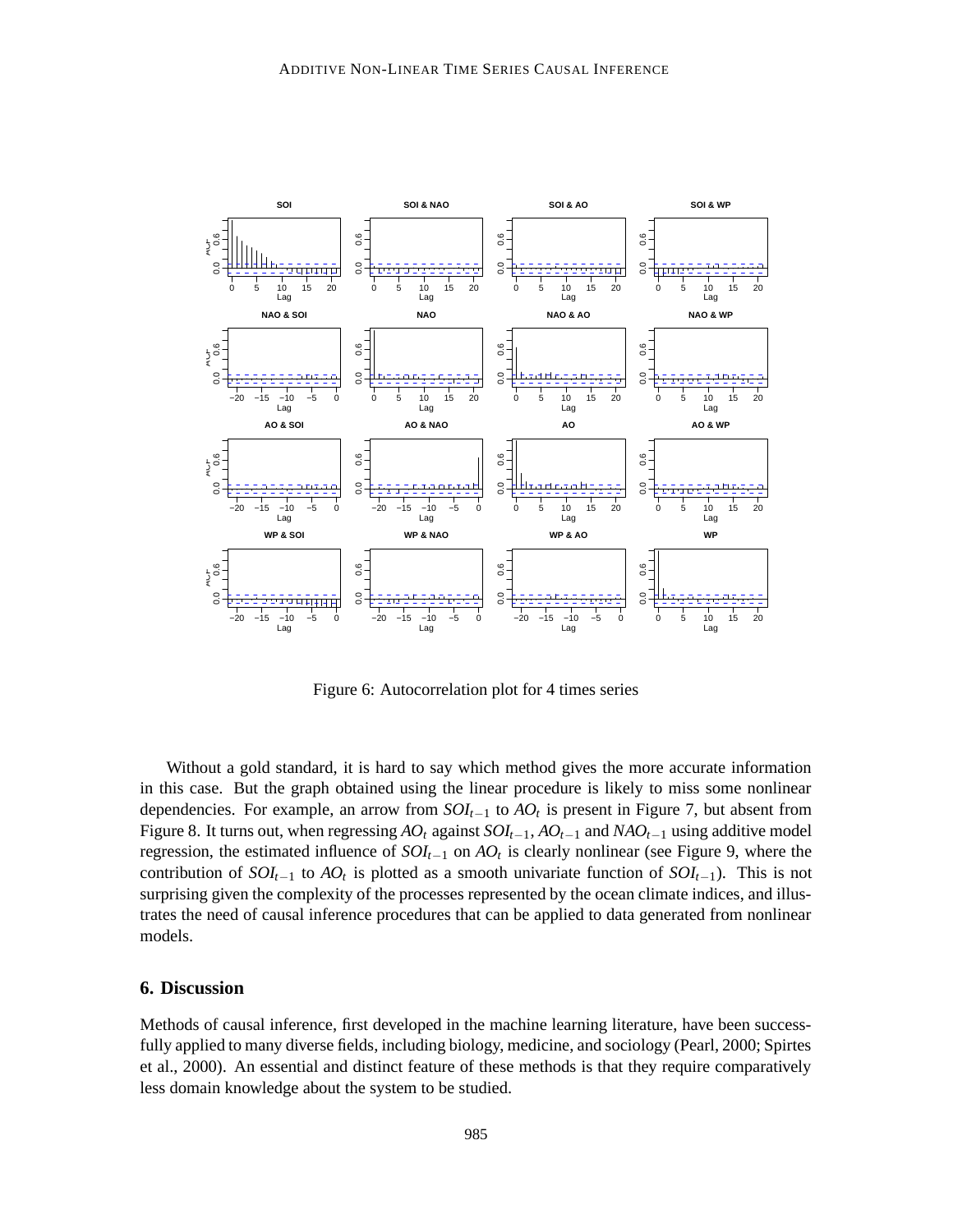

Figure 6: Autocorrelation plot for 4 times series

Without a gold standard, it is hard to say which method gives the more accurate information in this case. But the graph obtained using the linear procedure is likely to miss some nonlinear dependencies. For example, an arrow from *SOIt*−<sup>1</sup> to *AO<sup>t</sup>* is present in Figure 7, but absent from Figure 8. It turns out, when regressing *AO<sup>t</sup>* against *SOIt*−1, *AOt*−<sup>1</sup> and *NAOt*−<sup>1</sup> using additive model regression, the estimated influence of *SOIt*−<sup>1</sup> on *AO<sup>t</sup>* is clearly nonlinear (see Figure 9, where the contribution of  $SOI_{t-1}$  to  $AO_t$  is plotted as a smooth univariate function of  $SOI_{t-1}$ ). This is not surprising given the complexity of the processes represented by the ocean climate indices, and illustrates the need of causal inference procedures that can be applied to data generated from nonlinear models.

### **6. Discussion**

Methods of causal inference, first developed in the machine learning literature, have been successfully applied to many diverse fields, including biology, medicine, and sociology (Pearl, 2000; Spirtes et al., 2000). An essential and distinct feature of these methods is that they require comparatively less domain knowledge about the system to be studied.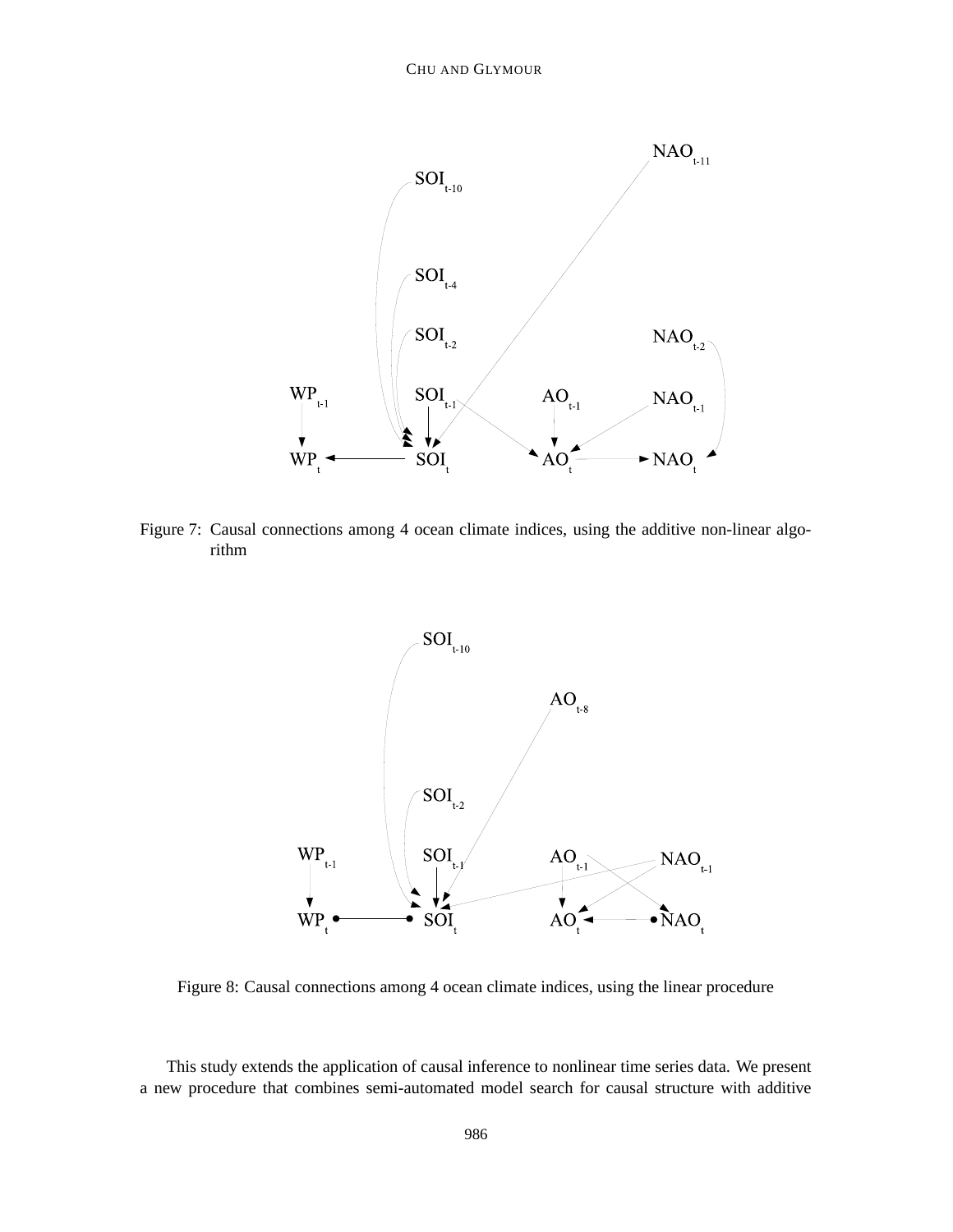

Figure 7: Causal connections among 4 ocean climate indices, using the additive non-linear algorithm



Figure 8: Causal connections among 4 ocean climate indices, using the linear procedure

This study extends the application of causal inference to nonlinear time series data. We present a new procedure that combines semi-automated model search for causal structure with additive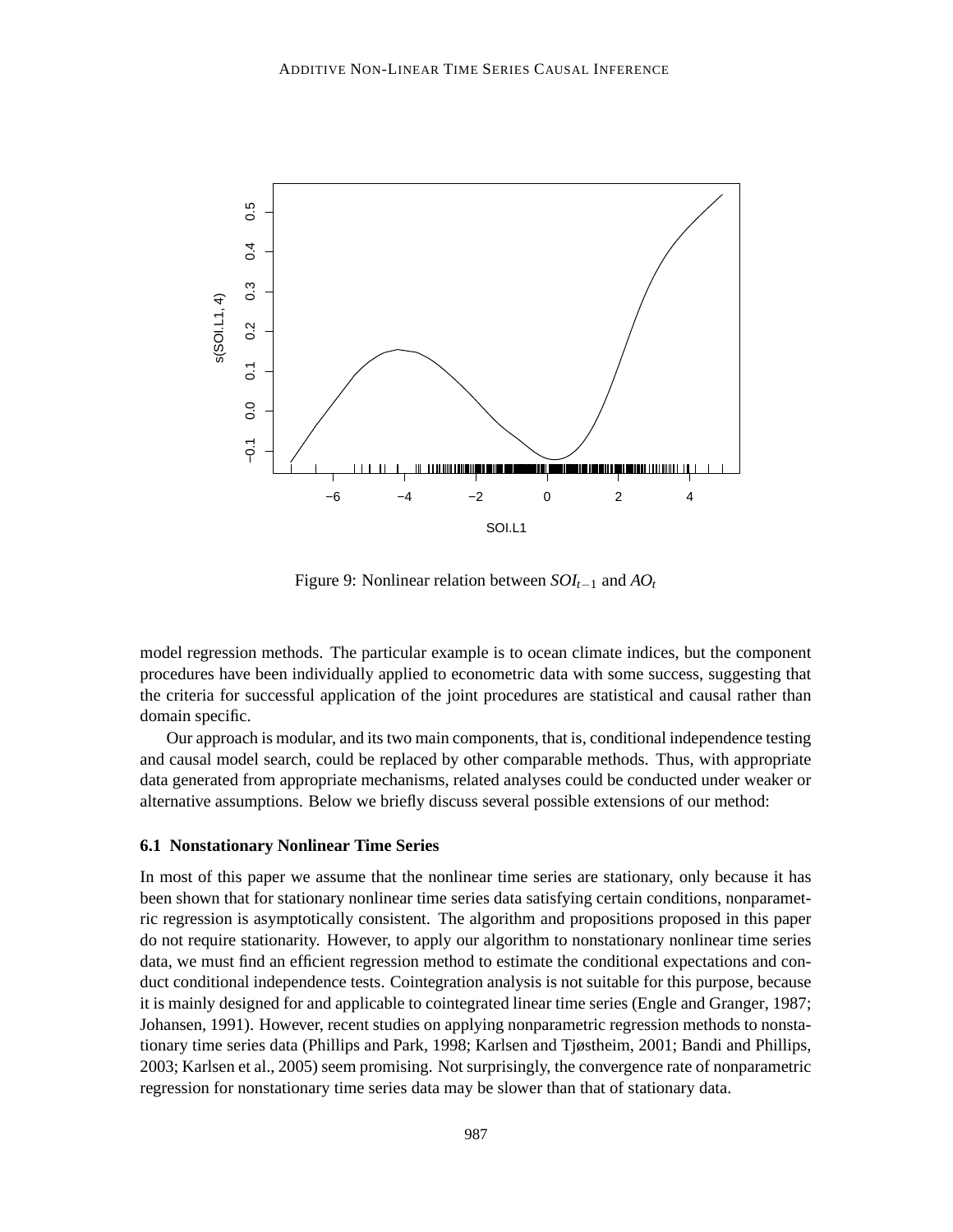![](_page_20_Figure_1.jpeg)

Figure 9: Nonlinear relation between *SOIt*−<sup>1</sup> and *AO<sup>t</sup>*

model regression methods. The particular example is to ocean climate indices, but the component procedures have been individually applied to econometric data with some success, suggesting that the criteria for successful application of the joint procedures are statistical and causal rather than domain specific.

Our approach is modular, and its two main components, that is, conditional independence testing and causal model search, could be replaced by other comparable methods. Thus, with appropriate data generated from appropriate mechanisms, related analyses could be conducted under weaker or alternative assumptions. Below we briefly discuss several possible extensions of our method:

#### **6.1 Nonstationary Nonlinear Time Series**

In most of this paper we assume that the nonlinear time series are stationary, only because it has been shown that for stationary nonlinear time series data satisfying certain conditions, nonparametric regression is asymptotically consistent. The algorithm and propositions proposed in this paper do not require stationarity. However, to apply our algorithm to nonstationary nonlinear time series data, we must find an efficient regression method to estimate the conditional expectations and conduct conditional independence tests. Cointegration analysis is not suitable for this purpose, because it is mainly designed for and applicable to cointegrated linear time series (Engle and Granger, 1987; Johansen, 1991). However, recent studies on applying nonparametric regression methods to nonstationary time series data (Phillips and Park, 1998; Karlsen and Tjøstheim, 2001; Bandi and Phillips, 2003; Karlsen et al., 2005) seem promising. Not surprisingly, the convergence rate of nonparametric regression for nonstationary time series data may be slower than that of stationary data.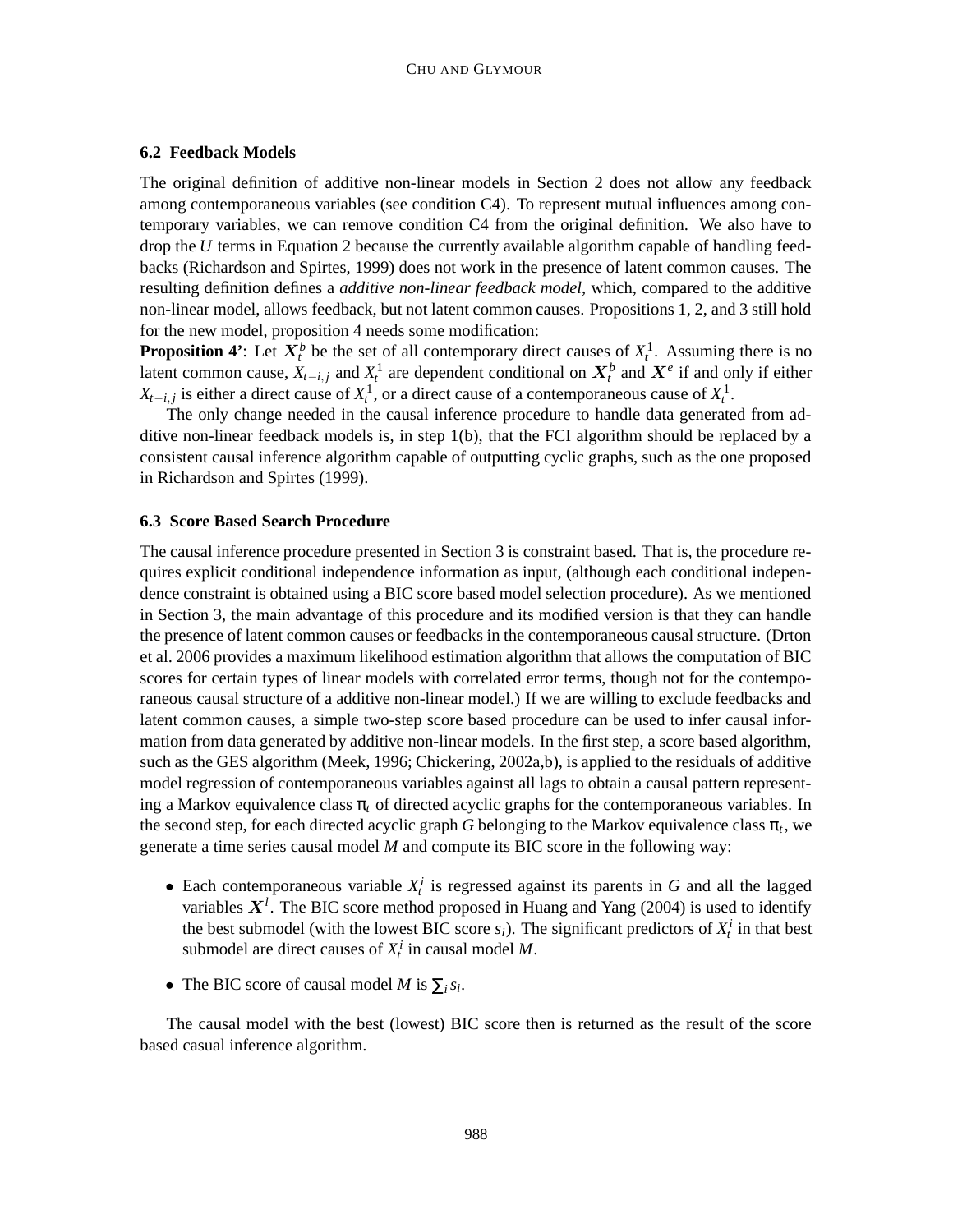#### **6.2 Feedback Models**

The original definition of additive non-linear models in Section 2 does not allow any feedback among contemporaneous variables (see condition C4). To represent mutual influences among contemporary variables, we can remove condition C4 from the original definition. We also have to drop the *U* terms in Equation 2 because the currently available algorithm capable of handling feedbacks (Richardson and Spirtes, 1999) does not work in the presence of latent common causes. The resulting definition defines a *additive non-linear feedback model*, which, compared to the additive non-linear model, allows feedback, but not latent common causes. Propositions 1, 2, and 3 still hold for the new model, proposition 4 needs some modification:

**Proposition 4'**: Let  $X_t^b$  be the set of all contemporary direct causes of  $X_t^1$ . Assuming there is no latent common cause,  $X_{t-i,j}$  and  $X_t^1$  are dependent conditional on  $X_t^b$  and  $X^e$  if and only if either  $X_{t-i,j}$  is either a direct cause of  $X_t^1$ , or a direct cause of a contemporaneous cause of  $X_t^1$ .

The only change needed in the causal inference procedure to handle data generated from additive non-linear feedback models is, in step 1(b), that the FCI algorithm should be replaced by a consistent causal inference algorithm capable of outputting cyclic graphs, such as the one proposed in Richardson and Spirtes (1999).

#### **6.3 Score Based Search Procedure**

The causal inference procedure presented in Section 3 is constraint based. That is, the procedure requires explicit conditional independence information as input, (although each conditional independence constraint is obtained using a BIC score based model selection procedure). As we mentioned in Section 3, the main advantage of this procedure and its modified version is that they can handle the presence of latent common causes or feedbacks in the contemporaneous causal structure. (Drton et al. 2006 provides a maximum likelihood estimation algorithm that allows the computation of BIC scores for certain types of linear models with correlated error terms, though not for the contemporaneous causal structure of a additive non-linear model.) If we are willing to exclude feedbacks and latent common causes, a simple two-step score based procedure can be used to infer causal information from data generated by additive non-linear models. In the first step, a score based algorithm, such as the GES algorithm (Meek, 1996; Chickering, 2002a,b), is applied to the residuals of additive model regression of contemporaneous variables against all lags to obtain a causal pattern representing a Markov equivalence class  $\pi_t$  of directed acyclic graphs for the contemporaneous variables. In the second step, for each directed acyclic graph *G* belonging to the Markov equivalence class  $\pi_t$ , we generate a time series causal model *M* and compute its BIC score in the following way:

- Each contemporaneous variable  $X_t^i$  is regressed against its parents in *G* and all the lagged variables  $X^l$ . The BIC score method proposed in Huang and Yang (2004) is used to identify the best submodel (with the lowest BIC score  $s_i$ ). The significant predictors of  $X_t^i$  in that best submodel are direct causes of  $X_t^i$  in causal model  $M$ .
- The BIC score of causal model *M* is  $\sum_i s_i$ .

The causal model with the best (lowest) BIC score then is returned as the result of the score based casual inference algorithm.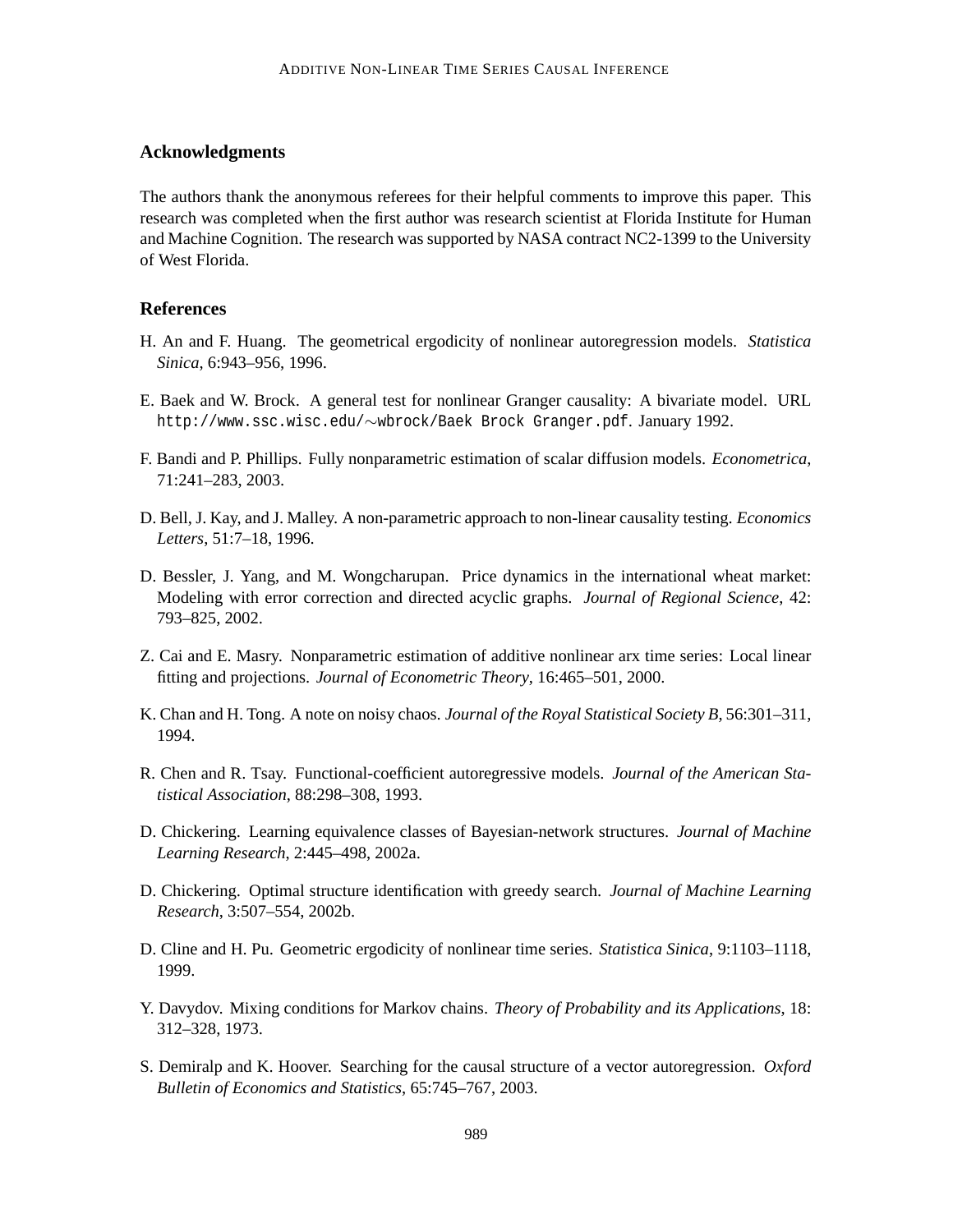# **Acknowledgments**

The authors thank the anonymous referees for their helpful comments to improve this paper. This research was completed when the first author was research scientist at Florida Institute for Human and Machine Cognition. The research was supported by NASA contract NC2-1399 to the University of West Florida.

# **References**

- H. An and F. Huang. The geometrical ergodicity of nonlinear autoregression models. *Statistica Sinica*, 6:943–956, 1996.
- E. Baek and W. Brock. A general test for nonlinear Granger causality: A bivariate model. URL http://www.ssc.wisc.edu/∼wbrock/Baek Brock Granger.pdf. January 1992.
- F. Bandi and P. Phillips. Fully nonparametric estimation of scalar diffusion models. *Econometrica*, 71:241–283, 2003.
- D. Bell, J. Kay, and J. Malley. A non-parametric approach to non-linear causality testing. *Economics Letters*, 51:7–18, 1996.
- D. Bessler, J. Yang, and M. Wongcharupan. Price dynamics in the international wheat market: Modeling with error correction and directed acyclic graphs. *Journal of Regional Science*, 42: 793–825, 2002.
- Z. Cai and E. Masry. Nonparametric estimation of additive nonlinear arx time series: Local linear fitting and projections. *Journal of Econometric Theory*, 16:465–501, 2000.
- K. Chan and H. Tong. A note on noisy chaos. *Journal of the Royal Statistical Society B*, 56:301–311, 1994.
- R. Chen and R. Tsay. Functional-coefficient autoregressive models. *Journal of the American Statistical Association*, 88:298–308, 1993.
- D. Chickering. Learning equivalence classes of Bayesian-network structures. *Journal of Machine Learning Research*, 2:445–498, 2002a.
- D. Chickering. Optimal structure identification with greedy search. *Journal of Machine Learning Research*, 3:507–554, 2002b.
- D. Cline and H. Pu. Geometric ergodicity of nonlinear time series. *Statistica Sinica*, 9:1103–1118, 1999.
- Y. Davydov. Mixing conditions for Markov chains. *Theory of Probability and its Applications*, 18: 312–328, 1973.
- S. Demiralp and K. Hoover. Searching for the causal structure of a vector autoregression. *Oxford Bulletin of Economics and Statistics*, 65:745–767, 2003.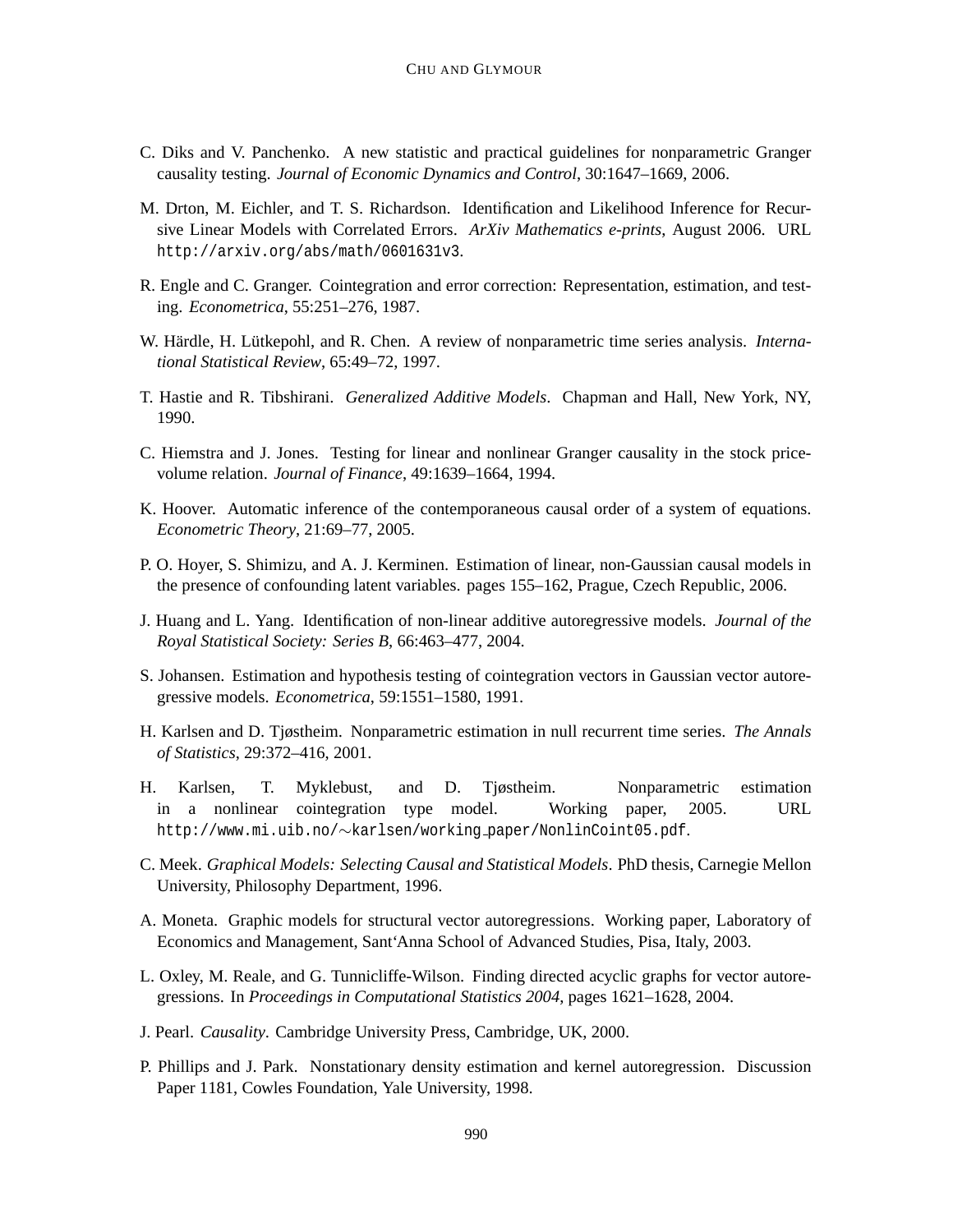- C. Diks and V. Panchenko. A new statistic and practical guidelines for nonparametric Granger causality testing. *Journal of Economic Dynamics and Control*, 30:1647–1669, 2006.
- M. Drton, M. Eichler, and T. S. Richardson. Identification and Likelihood Inference for Recursive Linear Models with Correlated Errors. *ArXiv Mathematics e-prints*, August 2006. URL http://arxiv.org/abs/math/0601631v3.
- R. Engle and C. Granger. Cointegration and error correction: Representation, estimation, and testing. *Econometrica*, 55:251–276, 1987.
- W. Härdle, H. Lütkepohl, and R. Chen. A review of nonparametric time series analysis. *International Statistical Review*, 65:49–72, 1997.
- T. Hastie and R. Tibshirani. *Generalized Additive Models*. Chapman and Hall, New York, NY, 1990.
- C. Hiemstra and J. Jones. Testing for linear and nonlinear Granger causality in the stock pricevolume relation. *Journal of Finance*, 49:1639–1664, 1994.
- K. Hoover. Automatic inference of the contemporaneous causal order of a system of equations. *Econometric Theory*, 21:69–77, 2005.
- P. O. Hoyer, S. Shimizu, and A. J. Kerminen. Estimation of linear, non-Gaussian causal models in the presence of confounding latent variables. pages 155–162, Prague, Czech Republic, 2006.
- J. Huang and L. Yang. Identification of non-linear additive autoregressive models. *Journal of the Royal Statistical Society: Series B*, 66:463–477, 2004.
- S. Johansen. Estimation and hypothesis testing of cointegration vectors in Gaussian vector autoregressive models. *Econometrica*, 59:1551–1580, 1991.
- H. Karlsen and D. Tjøstheim. Nonparametric estimation in null recurrent time series. *The Annals of Statistics*, 29:372–416, 2001.
- H. Karlsen, T. Myklebust, and D. Tjøstheim. Nonparametric estimation in a nonlinear cointegration type model. Working paper, 2005. URL http://www.mi.uib.no/∼karlsen/working paper/NonlinCoint05.pdf.
- C. Meek. *Graphical Models: Selecting Causal and Statistical Models*. PhD thesis, Carnegie Mellon University, Philosophy Department, 1996.
- A. Moneta. Graphic models for structural vector autoregressions. Working paper, Laboratory of Economics and Management, Sant'Anna School of Advanced Studies, Pisa, Italy, 2003.
- L. Oxley, M. Reale, and G. Tunnicliffe-Wilson. Finding directed acyclic graphs for vector autoregressions. In *Proceedings in Computational Statistics 2004*, pages 1621–1628, 2004.
- J. Pearl. *Causality*. Cambridge University Press, Cambridge, UK, 2000.
- P. Phillips and J. Park. Nonstationary density estimation and kernel autoregression. Discussion Paper 1181, Cowles Foundation, Yale University, 1998.